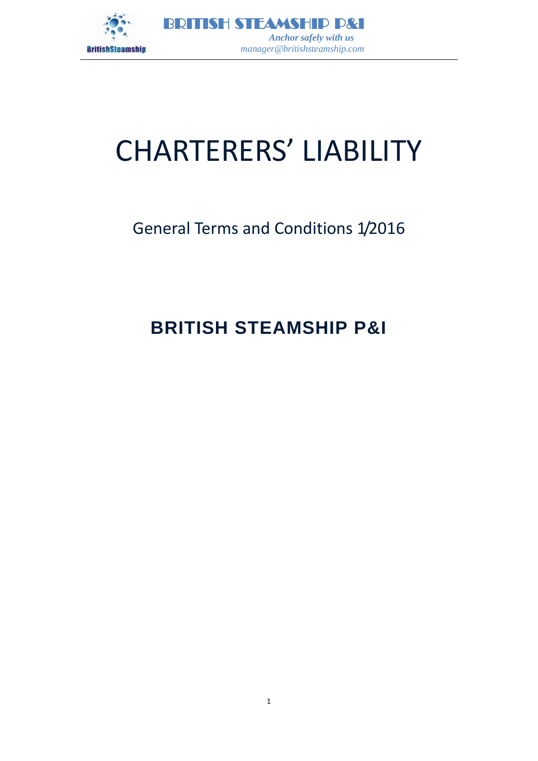

# CHARTERERS' LIABILITY

# General Terms and Conditions 1/2016

# **BRITISH STEAMSHIP P&I**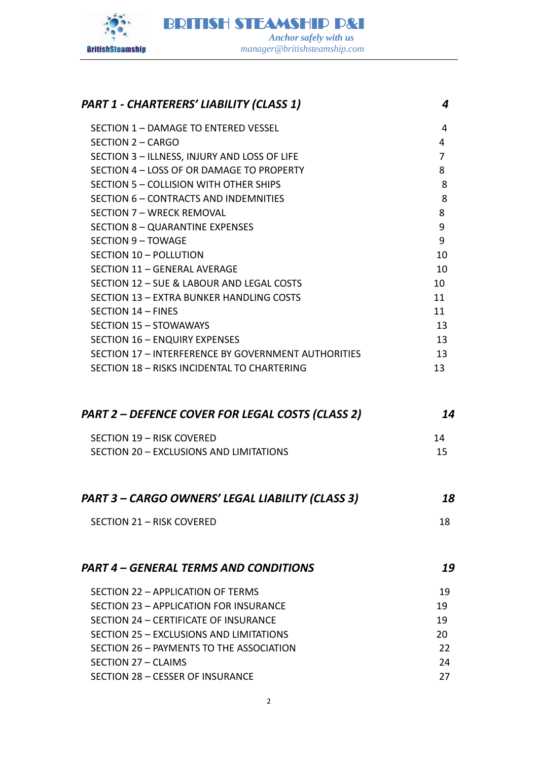

# *PART 1 - CHARTERERS' LIABILITY (CLASS 1) 4* SECTION 1 – [DAMAGE TO ENTERED VESSEL 4](#page-3-0) SECTION 2 – [CARGO 4](#page-3-1) SECTION 3 – [ILLNESS, INJURY AND LOSS OF LIFE 7](#page-7-0) SECTION 4 – [LOSS OF OR DAMAGE TO PROPERTY 8](#page-7-0) SECTION 5 – [COLLISION WITH OTHER SHIPS 8](#page-7-1) 8 SECTION 6 – [CONTRACTS AND INDEMNITIES 8](#page-7-2) SECTION 7 – [WRECK REMOVAL 8](#page-7-3) SECTION 8 – [QUARANTINE EXPENSES 9](#page-8-0) SECTION 9 – [TOWAGE 9](#page-8-1) SECTION 10 – [POLLUTION 10](#page-9-0) SECTION 11 – [GENERAL AVERAGE 10](#page-9-1) and 10 and 10 and 10 and 10 and 10 and 10 and 10 and 10 and 10 and 10 and 10 and 10 and 10 and 10 and 10 and 10 and 10 and 10 and 10 and 10 and 10 and 10 and 10 and 10 and 10 and 10 and 10 a SECTION 12 – [SUE & LABOUR AND LEGAL COSTS 10](#page-9-2) SECTION 13 – [EXTRA BUNKER HANDLING COSTS 11](#page-10-0) SECTION 14 – [FINES 11](#page-11-0) SECTION 15 – [STOWAWAYS 13](#page-12-0) SECTION 16 – [ENQUIRY EXPENSES 13](#page-12-0) SECTION 17 – [INTERFERENCE BY GOVERNMENT AUTHORITIES 13](#page-12-1) SECTION 18 – [RISKS INCIDENTAL TO CHARTERING 13](#page-12-2) *PART 2 – [DEFENCE COVER FOR LEGAL COSTS \(CLASS 2\) 14](#page-13-0)* SECTION 19 – [RISK COVERED 14](#page-13-1) SECTION 20 – [EXCLUSIONS AND LIMITATIONS 15](#page-14-0) *PART 3 – [CARGO OWNERS' LEGAL LIABILITY \(CLASS 3\)](#page-17-0) 18* SECTION 21 – [RISK COVERED 18](#page-17-1) *PART 4 – [GENERAL TERMS AND CONDITIONS 19](#page-18-0)* SECTION 22 – [APPLICATION OF TERMS 19](#page-18-1) SECTION 23 – [APPLICATION FOR INSURANCE 19](#page-18-2) SECTION 24 – [CERTIFICATE OF INSURANCE 19](#page-18-3) SECTION 25 – [EXCLUSIONS AND LIMITATIONS 20](#page-19-0) SECTION 26 – PAYMENTS TO THE ASSOCIATION 20 22 SECTION 27 – [CLAIMS 24](#page-23-0) SECTION 28 – [CESSER OF INSURANCE 27](#page-26-0)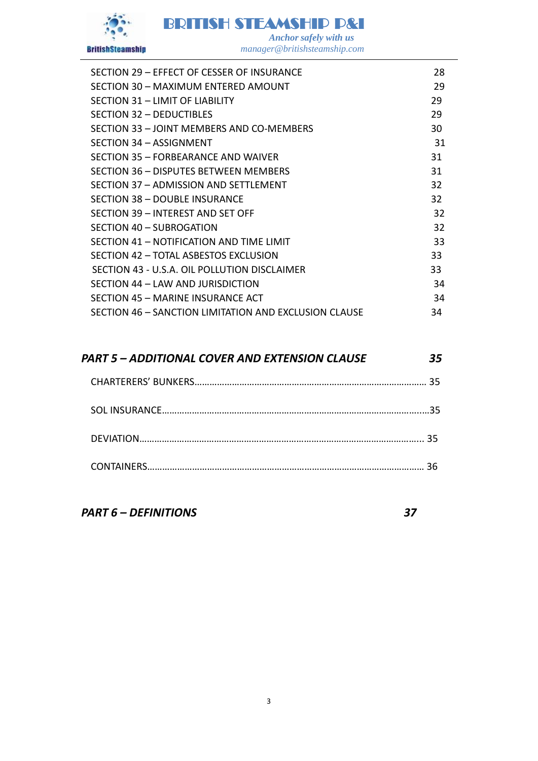

BRITISH STEAMSHIP P&I

 *Anchor safely with us manager@britishsteamship.com* 

| SECTION 29 - EFFECT OF CESSER OF INSURANCE            | 28 |
|-------------------------------------------------------|----|
| SECTION 30 - MAXIMUM ENTERED AMOUNT                   | 29 |
| SECTION 31 - LIMIT OF LIABILITY                       | 29 |
| SECTION 32 - DEDUCTIBLES                              | 29 |
| SECTION 33 - JOINT MEMBERS AND CO-MEMBERS             | 30 |
| SECTION 34 - ASSIGNMENT                               | 31 |
| SECTION 35 - FORBEARANCE AND WAIVER                   | 31 |
| SECTION 36 – DISPUTES BETWEEN MEMBERS                 | 31 |
| SECTION 37 - ADMISSION AND SETTLEMENT                 | 32 |
| SECTION 38 - DOUBLE INSURANCE                         | 32 |
| SECTION 39 - INTEREST AND SET OFF                     | 32 |
| SECTION 40 - SUBROGATION                              | 32 |
| SECTION 41 - NOTIFICATION AND TIME LIMIT              | 33 |
| SECTION 42 - TOTAL ASBESTOS EXCLUSION                 | 33 |
| SECTION 43 - U.S.A. OIL POLLUTION DISCLAIMER          | 33 |
| SECTION 44 - LAW AND JURISDICTION                     | 34 |
| SECTION 45 - MARINE INSURANCE ACT                     | 34 |
| SECTION 46 - SANCTION LIMITATION AND EXCLUSION CLAUSE | 34 |
|                                                       |    |

# *PART 5 – [ADDITIONAL COVER AND EXTENSION CLAUSE 35](#page-34-0)*

*PART 6 – [DEFINITIONS 37](#page-36-0)*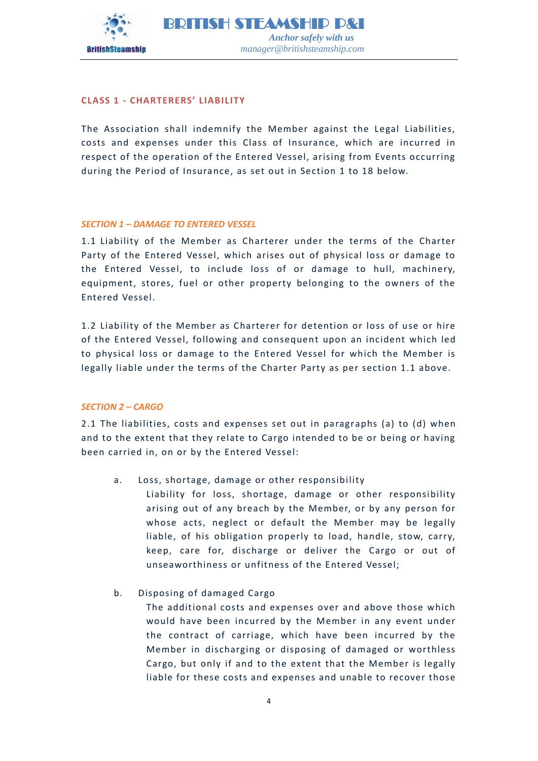

# **CLASS 1 - CHARTERERS' LIABIL ITY**

The Association shall indemnify the Member against the Legal Liabilities, costs and expenses under this Class of Insurance, which are incurred in respect of the operation of the Entered Vessel, arising from Events occurring during the Period of Insurance, as set out in Section 1 to 18 below.

# <span id="page-3-0"></span>*SECTION 1 – DAMAGE TO ENTERED VESSEL*

1.1 Liability of the Member as Charterer under the terms of the Charter Party of the Entered Vessel, which arises out of physical loss or damage to the Entered Vessel, to include loss of or damage to hull, machinery, equipment, stores, fuel or other property belonging to the owners of the Entered Vessel.

1.2 Liability of the Member as Charterer for detention or loss of use or hire of the Entered Vessel, following and consequent upon an incident which led to physical loss or damage to the Entered Vessel for which the Member is legally liable under the terms of the Charter Party as per section 1.1 above.

# <span id="page-3-1"></span>*SECTION 2 – CARGO*

2.1 The liabilities, costs and expenses set out in paragraphs (a) to (d) when and to the extent that they relate to Cargo intended to be or being or having been carried in, on or by the Entered Vessel:

- a. Loss, shortage, damage or other responsibility
	- Liability for loss, shortage, damage or other responsibility arising out of any breach by the Member, or by any person for whose acts, neglect or default the Member may be legally liable, of his obligation properly to load, handle, stow, carry, keep, care for, discharge or deliver the Cargo or out of unseaworthiness or unfitness of the Entered Vessel;
- b. Disposing of damaged Cargo

The additional costs and expenses over and above those which would have been incurred by the Member in any event under the contract of carriage, which have been incurred by the Member in discharging or disposing of damaged or worthless Cargo, but only if and to the extent that the Member is legally liable for these costs and expenses and unable to recover those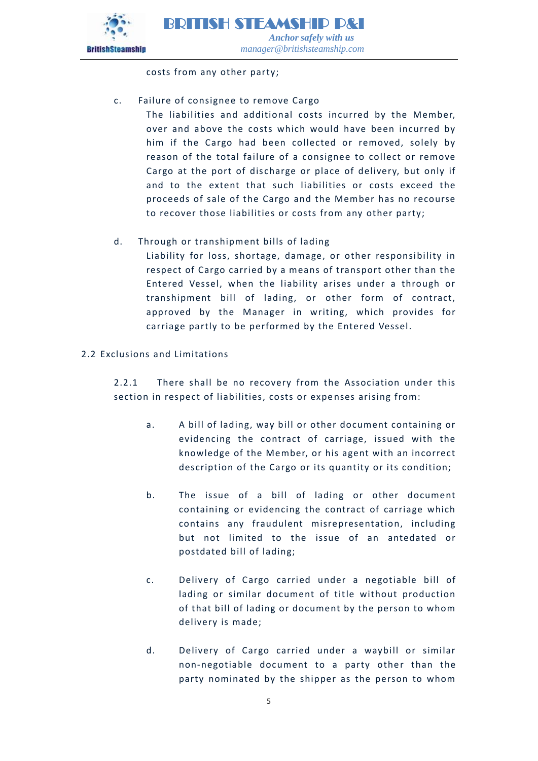

costs from any other party;

# c. Failure of consignee to remove Cargo

The liabilities and additional costs incurred by the Member, over and above the costs which would have been incurred by him if the Cargo had been collected or removed, solely by reason of the total failure of a consignee to collect or remove Cargo at the port of discharge or place of delivery, but only if and to the extent that such liabilities or costs exceed the proceeds of sale of the Cargo and the Member has no recourse to recover those liabilities or costs from any other party;

# d. Through or transhipment bills of lading

Liability for loss, shortage, damage, or other responsibility in respect of Cargo carried by a means of transport other than the Entered Vessel, when the liability arises under a through or transhipment bill of lading, or other form of contract, approved by the Manager in writing, which provides for carriage partly to be performed by the Entered Vessel.

# 2.2 Exclusions and Limitations

2.2.1 There shall be no recovery from the Association under this section in respect of liabilities, costs or expenses arising from:

- a. A bill of lading, way bill or other document containing or evidencing the contract of carriage, issued with the knowledge of the Member, or his agent with an incorrect description of the Cargo or its quantity or its condition;
- b. The issue of a bill of lading or other document containing or evidencing the contract of carriage which contains any fraudulent misrepresentation, including but not limited to the issue of an antedated or postdated bill of lading;
- c. Delivery of Cargo carried under a negotiable bill of lading or similar document of title without production of that bill of lading or document by the person to whom delivery is made;
- d. Delivery of Cargo carried under a waybill or similar non-negotiable document to a party other than the party nominated by the shipper as the person to whom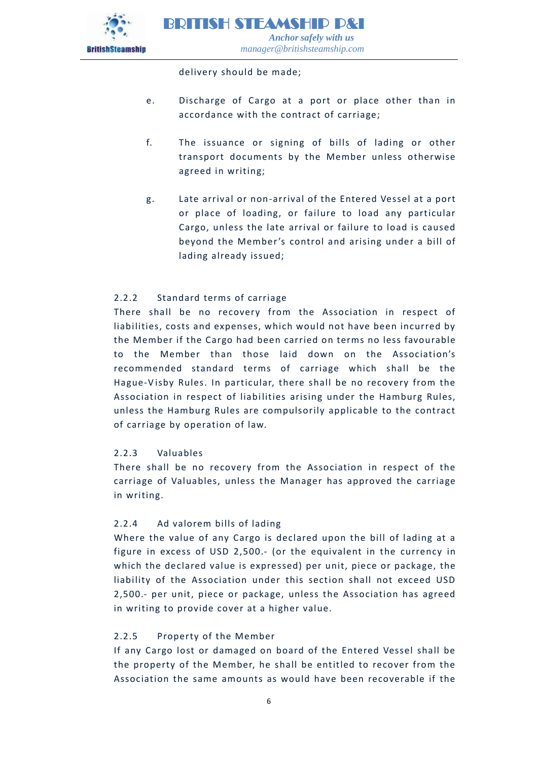

delivery should be made;

- e. Discharge of Cargo at a port or place other than in accordance with the contract of carriage;
- f. The issuance or signing of bills of lading or other transport documents by the Member unless otherwise agreed in writing;
- g. Late arrival or non-arrival of the Entered Vessel at a port or place of loading, or failure to load any particular Cargo, unless the late arrival or failure to load is caused beyond the Member's control and arising under a bill of lading already issued;

# 2.2.2 Standard terms of carriage

There shall be no recovery from the Association in respect of liabilities, costs and expenses, which would not have been incurred by the Member if the Cargo had been carried on terms no less favourable to the Member than those laid down on the Association's recommended standard terms of carriage which shall be the Hague-V isby Rules. In particular, there shall be no recovery from the Association in respect of liabilities arising under the Hamburg Rules, unless the Hamburg Rules are compulsorily applicable to the contract of carriage by operation of law.

# 2.2.3 Valuables

There shall be no recovery from the Association in respect of the carriage of Valuables, unless t he Manager has approved the carriage in writing.

# 2.2.4 Ad valorem bills of lading

Where the value of any Cargo is declared upon the bill of lading at a figure in excess of USD 2,500.- (or the equivalent in the currency in which the declared value is expressed) per unit, piece or package, the liability of the Association under this section shall not exceed USD 2,500.- per unit, piece or package, unless the Association has agreed in writing to provide cover at a higher value.

# 2.2.5 Property of the Member

If any Cargo lost or damaged on board of the Entered Vessel shall be the property of the Member, he shall be entitled to recover from the Association the same amounts as would have been recoverable if the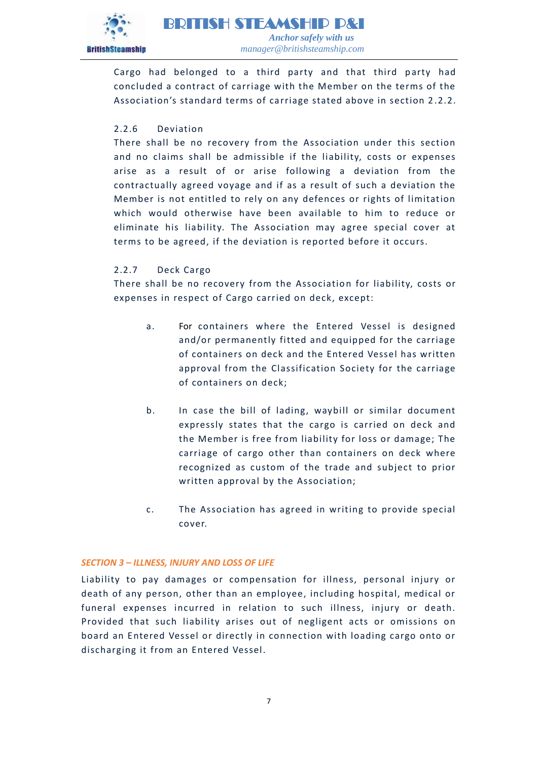

Cargo had belonged to a third party and that third party had concluded a contract of carriage with the Member on the terms of the Association's standard terms of carriage stated above in section 2.2.2.

# 2.2.6 Deviation

There shall be no recovery from the Association under this section and no claims shall be admissible if the liability, costs or expenses arise as a result of or arise following a deviation from the contractually agreed voyage and if as a result of such a deviation the Member is not entitled to rely on any defences or rights of limitation which would otherwise have been available to him to reduce or eliminate his liability. The Association may agree special cover at terms to be agreed, if the deviation is reported before it occurs.

# 2.2.7 Deck Cargo

There shall be no recovery from the Association for liability, costs or expenses in respect of Cargo carried on deck, except:

- a. For containers where the Entered Vessel is designed and/or permanently fitted and equipped for the carriage of containers on deck and the Entered Vessel has written approval from the Classification Society for the carriage of containers on deck;
- b. In case the bill of lading, waybill or similar document expressly states that the cargo is carried on deck and the Member is free from liability for loss or damage; The carriage of cargo other than containers on deck where recognized as custom of the trade and subject to prior written approval by the Association;
- c. The Association has agreed in writing to provide special cover.

# *SECTION 3 – ILLNESS, INJURY AND LOSS OF LIFE*

Liability to pay damages or compensation for illness, personal injury or death of any person, other than an employee, including hospital, medical or funeral expenses incurred in relation to such illness, injury or death. Provided that such liability arises out of negligent acts or omissions on board an Entered Vessel or directly in connection with loading cargo onto or discharging it from an Entered Vessel.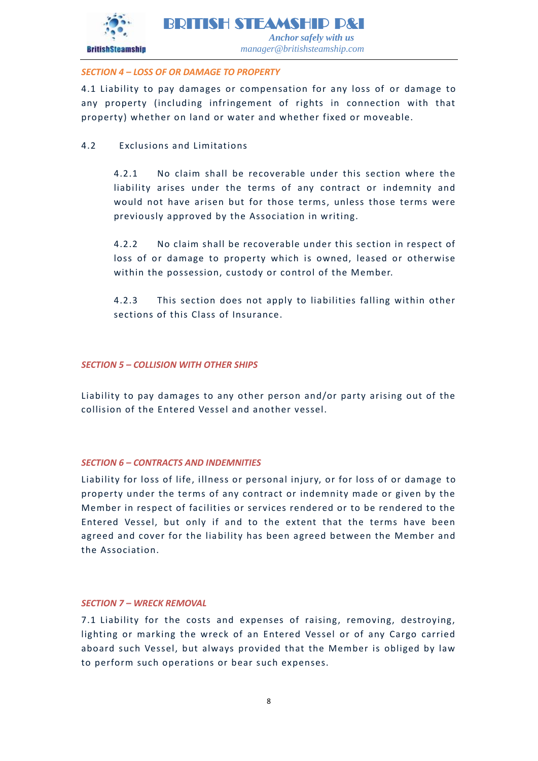

# <span id="page-7-0"></span>*SECTION 4 – LOSS OF OR DAMAGE TO PROPERTY*

4.1 Liability to pay damages or compensation for any loss of or damage to any property (including infringement of rights in connection with that property) whether on land or water and whether fixed or moveable.

4.2 Exclusions and Limitations

4.2.1 No claim shall be recoverable under this section where the liability arises under the terms of any contract or indemnity and would not have arisen but for those terms, unless those terms were previously approved by the Association in writing.

4.2.2 No claim shall be recoverable under this section in respect of loss of or damage to property which is owned, leased or otherwise within the possession, custody or control of the Member.

4.2.3 This section does not apply to liabilities falling within other sections of this Class of Insurance.

# <span id="page-7-1"></span>*SECTION 5 – COLLISION WITH OTHER SHIPS*

Liability to pay damages to any other person and/or party arising out of the collision of the Entered Vessel and another vessel.

# <span id="page-7-2"></span>*SECTION 6 – CONTRACTS AND INDEMNITIES*

Liability for loss of life, illness or personal injury, or for loss of or damage to property under the terms of any contract or indemnity made or given by the Member in respect of facilities or services rendered or to be rendered to the Entered Vessel, but only if and to the extent that the terms have been agreed and cover for the liability has been agreed between the Member and the Association.

# <span id="page-7-3"></span>*SECTION 7 – WRECK REMOVAL*

7.1 Liability for the costs and expenses of raising, removing, destroying, lighting or marking the wreck of an Entered Vessel or of any Cargo carried aboard such Vessel, but always provided that the Member is obliged by law to perform such operations or bear such expenses.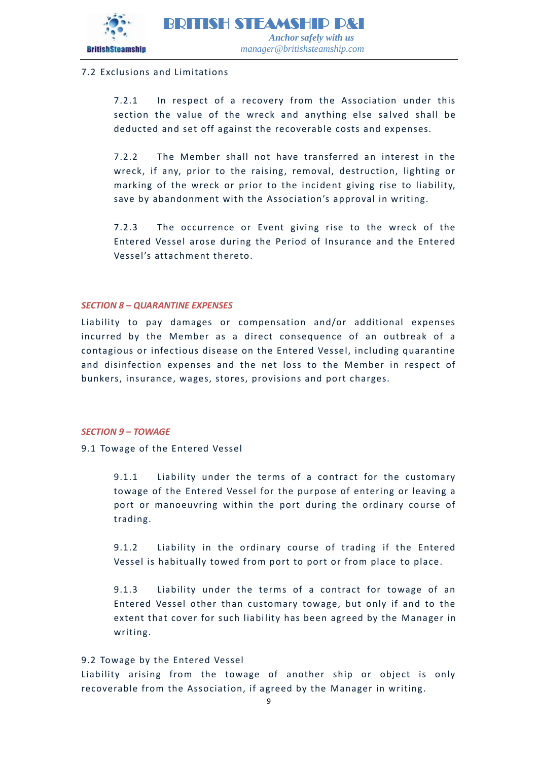

# 7.2 Exclusions and Limitations

7.2.1 In respect of a recovery from the Association under this section the value of the wreck and anything else salved shall be deducted and set off against the recoverable costs and expenses.

7.2.2 The Member shall not have transferred an interest in the wreck, if any, prior to the raising, removal, destruction, lighting or marking of the wreck or prior to the incident giving rise to liability, save by abandonment with the Association's approval in writing.

7.2.3 The occurrence or Event giving rise to the wreck of the Entered Vessel arose during the Period of Insurance and the Entered Vessel's attachment thereto.

# <span id="page-8-0"></span>*SECTION 8 – QUARANTINE EXPENSES*

Liability to pay damages or compensation and/or additional expenses incurred by the Member as a direct consequence of an outbreak of a contagious or infectious disease on the Entered Vessel, including quarantine and disinfection expenses and the net loss to the Member in respect of bunkers, insurance, wages, stores, provisions and port charges.

#### <span id="page-8-1"></span>*SECTION 9 – TOWAGE*

9.1 Towage of the Entered Vessel

9.1.1 Liability under the terms of a contract for the customary towage of the Entered Vessel for the purpose of entering or leaving a port or manoeuvring within the port during the ordinary course of trading.

9.1.2 Liability in the ordinary course of trading if the Entered Vessel is habitually towed from port to port or from place to place.

9.1.3 Liability under the terms of a contract for towage of an Entered Vessel other than customary towage, but only if and to the extent that cover for such liability has been agreed by the Manager in writing.

# 9.2 Towage by the Entered Vessel

Liability arising from the towage of another ship or object is only recoverable from the Association, if agreed by the Manager in writing.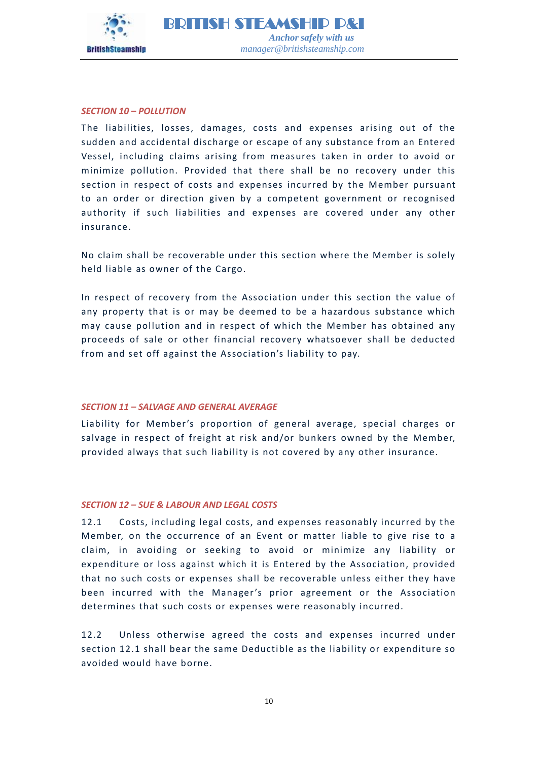

#### <span id="page-9-0"></span>*SECTION 10 – POLLUTION*

The liabilities, losses, damages, costs and expenses arising out of the sudden and accidental discharge or escape of any substance from an Entered Vessel, including claims arising from measures taken in order to avoid or minimize pollution. Provided that there shall be no recovery under this section in respect of costs and expenses incurred by the Member pursuant to an order or direction given by a competent government or recognised authority if such liabilities and expenses are covered under any other insurance.

No claim shall be recoverable under this section where the Member is solely held liable as owner of the Cargo.

In respect of recovery from the Association under this section the value of any property that is or may be deemed to be a hazardous substance which may cause pollution and in respect of which the Member has obtained any proceeds of sale or other financial recovery whatsoever shall be deducted from and set off against the Association's liability to pay.

#### <span id="page-9-1"></span>*SECTION 11 – SALVAGE AND GENERAL AVERAGE*

Liability for Member's proportion of general average, special charges or salvage in respect of freight at risk and/or bunkers owned by the Member, provided always that such liability is not covered by any other insurance.

#### <span id="page-9-2"></span>*SECTION 12 – SUE & LABOUR AND LEGAL COSTS*

12.1 Costs, including legal costs, and expenses reasonably incurred by the Member, on the occurrence of an Event or matter liable to give rise to a claim, in avoiding or seeking to avoid or minimize any liability or expenditure or loss against which it is Entered by the Association, provided that no such costs or expenses shall be recoverable unless either they have been incurred with the Manager's prior agreement or the Association determines that such costs or expenses were reasonably incurred.

12.2 Unless otherwise agreed the costs and expenses incurred under section 12.1 shall bear the same Deductible as the liability or expenditure so avoided would have borne.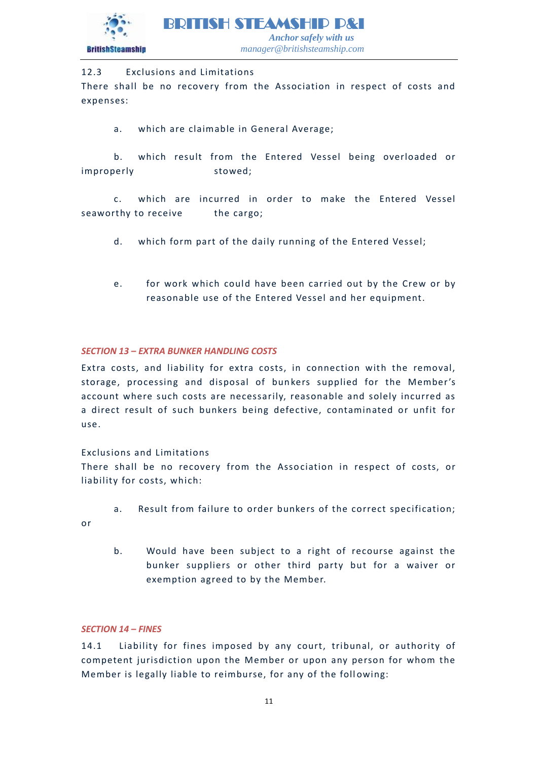

# 12.3 Exclusions and Limitations

There shall be no recovery from the Association in respect of costs and expenses:

a. which are claimable in General Average;

b. which result from the Entered Vessel being overloaded or improperly stowed;

c. which are incurred in order to make the Entered Vessel seaworthy to receive the cargo;

- d. which form part of the daily running of the Entered Vessel;
- e. for work which could have been carried out by the Crew or by reasonable use of the Entered Vessel and her equipment.

# <span id="page-10-0"></span>*SECTION 13 – EXTRA BUNKER HANDLING COSTS*

Extra costs, and liability for extra costs, in connection with the removal, storage, processing and disposal of bunkers supplied for the Member's account where such costs are necessarily, reasonable and solely incurred as a direct result of such bunkers being defective, contaminated or unfit for use.

# Exclusions and Limitations

There shall be no recovery from the Association in respect of costs, or liability for costs, which:

- a. Result from failure to order bunkers of the correct specification;
- or
- b. Would have been subject to a right of recourse against the bunker suppliers or other third party but for a waiver or exemption agreed to by the Member.

# *SECTION 14 – FINES*

14.1 Liability for fines imposed by any court, tribunal, or authority of competent jurisdiction upon the Member or upon any person for whom the Member is legally liable to reimburse, for any of the following: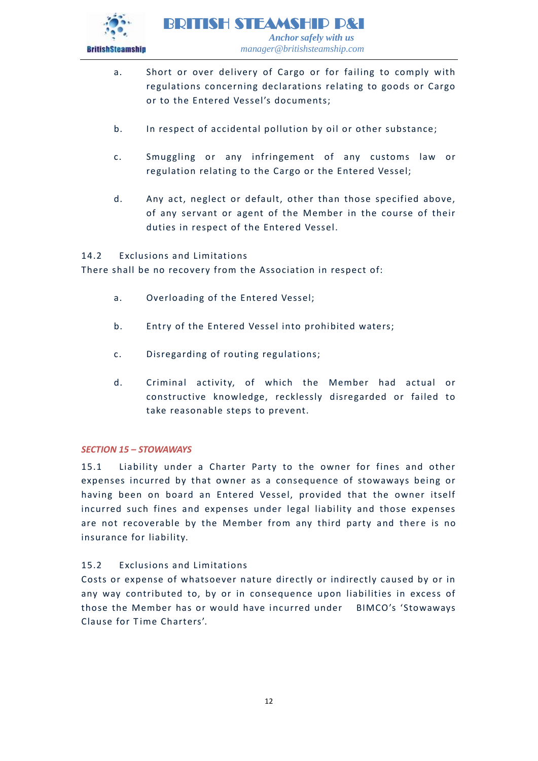

- a. Short or over delivery of Cargo or for failing to comply with regulations concerning declarations relating to goods or Cargo or to the Entered Vessel's documents;
- b. In respect of accidental pollution by oil or other substance;
- c. Smuggling or any infringement of any customs law or regulation relating to the Cargo or the Entered Vessel;
- d. Any act, neglect or default, other than those specified above, of any servant or agent of the Member in the course of their duties in respect of the Entered Vessel.

# 14.2 Exclusions and Limitations

There shall be no recovery from the Association in respect of:

- a. Overloading of the Entered Vessel;
- b. Entry of the Entered Vessel into prohibited waters;
- c. Disregarding of routing regulations;
- d. Criminal activity, of which the Member had actual or constructive knowledge, recklessly disregarded or failed to take reasonable steps to prevent.

# <span id="page-11-0"></span>*SECTION 15 – STOWAWAYS*

15.1 Liability under a Charter Party to the owner for fines and other expenses incurred by that owner as a consequence of stowaways being or having been on board an Entered Vessel, provided that the owner itself incurred such fines and expenses under legal liability and those expenses are not recoverable by the Member from any third party and there is no insurance for liability.

# 15.2 Exclusions and Limitations

Costs or expense of whatsoever nature directly or indirectly caused by or in any way contributed to, by or in consequence upon liabilities in excess of those the Member has or would have incurred under BIMCO's 'Stowaways Clause for Time Charters'.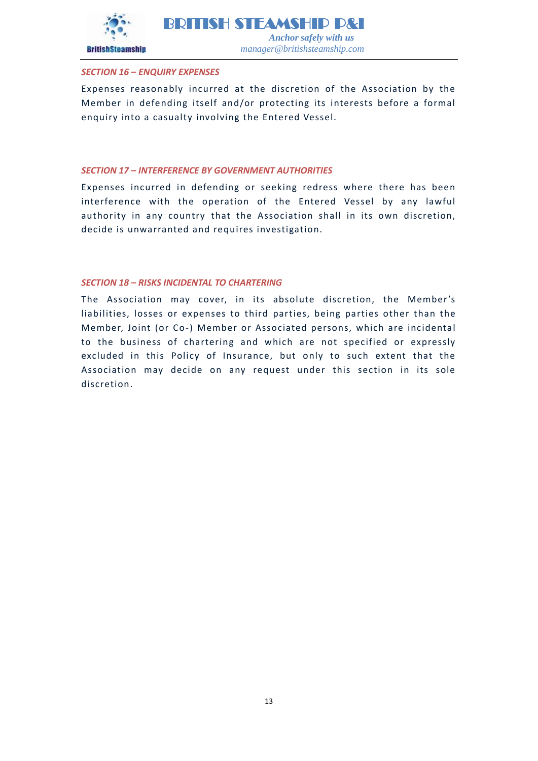

# **BritishSteamship**

#### <span id="page-12-0"></span>*SECTION 16 – ENQUIRY EXPENSES*

Expenses reasonably incurred at the discretion of the Association by the Member in defending itself and/or protecting its interests before a formal enquiry into a casualty involving the Entered Vessel.

#### <span id="page-12-1"></span>*SECTION 17 – INTERFERENCE BY GOVERNMENT AUTHORITIES*

Expenses incurred in defending or seeking redress where there has been interference with the operation of the Entered Vessel by any lawful authority in any country that the Association shall in its own discretion, decide is unwarranted and requires investigation.

#### <span id="page-12-2"></span>*SECTION 18 – RISKS INCIDENTAL TO CHARTERING*

The Association may cover, in its absolute discretion, the Member's liabilities, losses or expenses to third parties, being parties other than the Member, Joint (or Co-) Member or Associated persons, which are incidental to the business of chartering and which are not specified or expressly excluded in this Policy of Insurance, but only to such extent that the Association may decide on any request under this section in its sole discretion.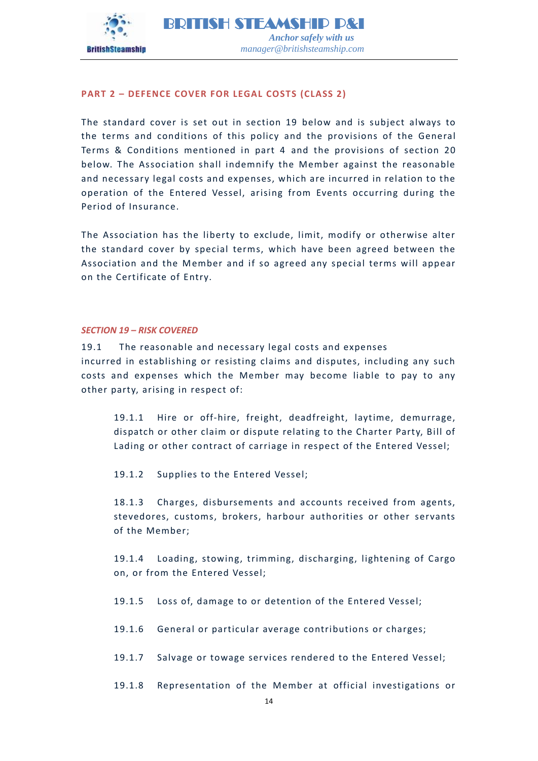

# <span id="page-13-0"></span>**PART 2 – DEFENCE COVER FOR LEGAL COSTS (CLASS 2)**

The standard cover is set out in section 19 below and is subject always to the terms and conditions of this policy and the provisions of the General Terms & Conditions mentioned in part 4 and the provisions of section 20 below. The Association shall indemnify the Member against the reasonable and necessary legal costs and expenses, which are incurred in relation to the operation of the Entered Vessel, arising from Events occurring during the Period of Insurance.

The Association has the liberty to exclude, limit, modify or otherwise alter the standard cover by special terms, which have been agreed between the Association and the Member and if so agreed any special terms will appear on the Certificate of Entry.

#### <span id="page-13-1"></span>*SECTION 19 – RISK COVERED*

19.1 The reasonable and necessary legal costs and expenses incurred in establishing or resisting claims and disputes, including any such costs and expenses which the Member may become liable to pay to any other party, arising in respect of:

19.1.1 Hire or off-hire, freight, deadfreight, laytime, demurrage, dispatch or other claim or dispute relating to the Charter Party, Bill of Lading or other contract of carriage in respect of the Entered Vessel;

19.1.2 Supplies to the Entered Vessel;

18.1.3 Charges, disbursements and accounts received from agents, stevedores, customs, brokers, harbour authorities or other servants of the Member;

19.1.4 Loading, stowing, trimming, discharging, lightening of Cargo on, or from the Entered Vessel;

- 19.1.5 Loss of, damage to or detention of the Entered Vessel;
- 19.1.6 General or particular average contributions or charges;
- 19.1.7 Salvage or towage services rendered to the Entered Vessel;
- 19.1.8 Representation of the Member at official investigations or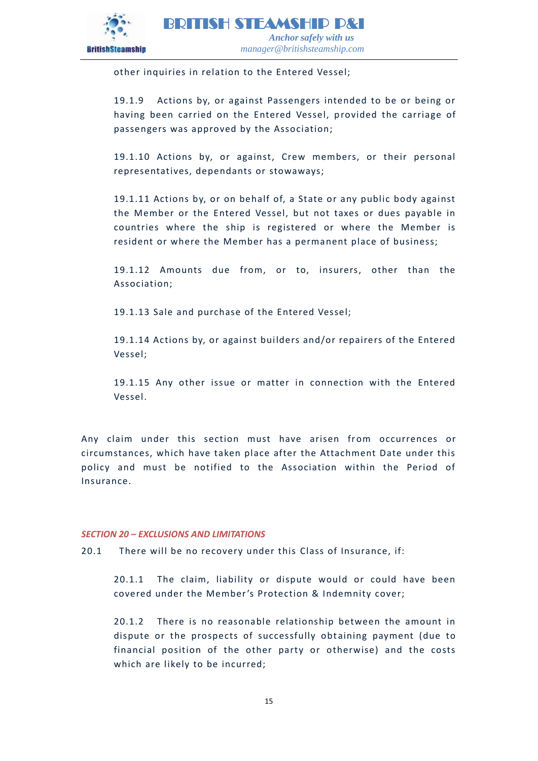

other inquiries in relation to the Entered Vessel;

19.1.9 Actions by, or against Passengers intended to be or being or having been carried on the Entered Vessel, provided the carriage of passengers was approved by the Association;

19.1.10 Actions by, or against, Crew members, or their personal representatives, dependants or stowaways;

19.1.11 Actions by, or on behalf of, a State or any public body against the Member or the Entered Vessel, but not taxes or dues payable in countries where the ship is registered or where the Member is resident or where the Member has a permanent place of business;

19.1.12 Amounts due from, or to, insurers, other than the Association;

19.1.13 Sale and purchase of the Entered Vessel;

19.1.14 Actions by, or against builders and/or repairers of the Entered Vessel;

19.1.15 Any other issue or matter in connection with the Entered Vessel.

Any claim under this section must have arisen from occurrences or circumstances, which have taken place after the Attachment Date under this policy and must be notified to the Association within the Period of Insurance.

# <span id="page-14-0"></span>*SECTION 20 – EXCLUSIONS AND LIMITATIONS*

20.1 There will be no recovery under this Class of Insurance, if:

20.1.1 The claim, liability or dispute would or could have been covered under the Member's Protection & Indemnity cover;

20.1.2 There is no reasonable relationship between the amount in dispute or the prospects of successfully obtaining payment (due to financial position of the other party or otherwise) and the costs which are likely to be incurred;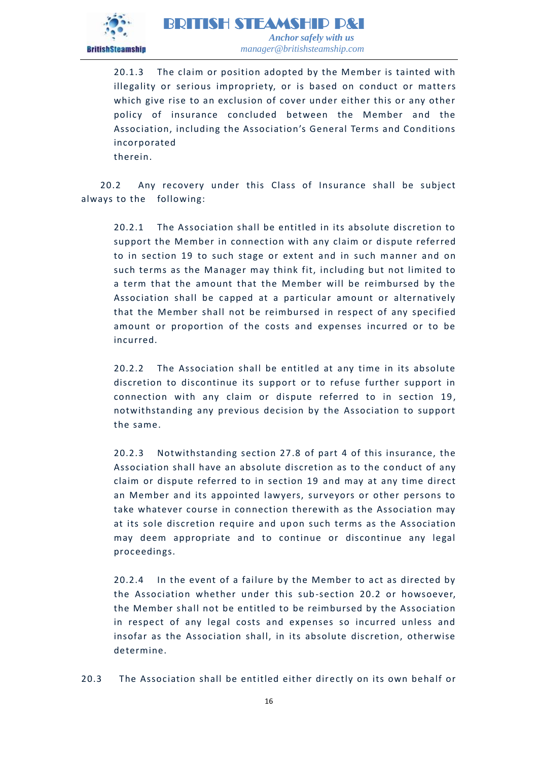

20.1.3 The claim or position adopted by the Member is tainted with illegality or serious impropriety, or is based on conduct or matters which give rise to an exclusion of cover under either this or any other policy of insurance concluded between the Member and the Association, including the Association's General Terms and Conditions incorporated

therein.

20.2 Any recovery under this Class of Insurance shall be subject always to the following:

20.2.1 The Association shall be entitled in its absolute discretion to support the Member in connection with any claim or dispute referred to in section 19 to such stage or extent and in such manner and on such terms as the Manager may think fit, including but not limited to a term that the amount that the Member will be reimbursed by the Association shall be capped at a particular amount or alternatively that the Member shall not be reimbursed in respect of any specified amount or proportion of the costs and expenses incurred or to be incurred.

20.2.2 The Association shall be entitled at any time in its absolute discretion to discontinue its support or to refuse further support in connection with any claim or dispute referred to in section 19, notwithstanding any previous decision by the Association to support the same.

20.2.3 Notwithstanding section 27.8 of part 4 of this insurance, the Association shall have an absolute discretion as to the conduct of any claim or dispute referred to in section 19 and may at any time direct an Member and its appointed lawyers, surveyors or other persons to take whatever course in connection therewith as the Association may at its sole discretion require and upon such terms as the Association may deem appropriate and to continue or discontinue any legal proceedings.

20.2.4 In the event of a failure by the Member to act as directed by the Association whether under this sub-section 20.2 or howsoever, the Member shall not be entitled to be reimbursed by the Association in respect of any legal costs and expenses so incurred unless and insofar as the Association shall, in its absolute discretion, otherwise determine.

20.3 The Association shall be entitled either directly on its own behalf or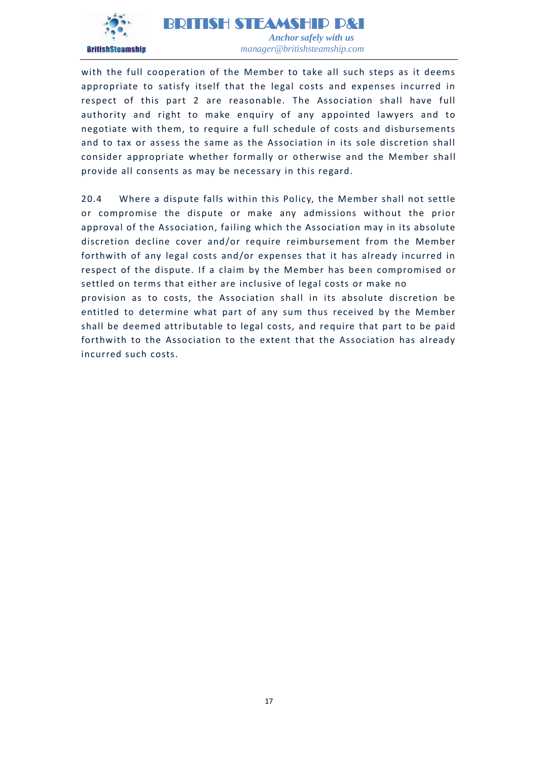

with the full cooperation of the Member to take all such steps as it deems appropriate to satisfy itself that the legal costs and expenses incurred in respect of this part 2 are reasonable. The Association shall have full authority and right to make enquiry of any appointed lawyers and to negotiate with them, to require a full schedule of costs and disbursements and to tax or assess the same as the Association in its sole discretion shall consider appropriate whether formally or o therwise and the Member shall provide all consents as may be necessary in this regard.

20.4 Where a dispute falls within this Policy, the Member shall not settle or compromise the dispute or make any admissions without the prior approval of the Association, failing which the Association may in its absolute discretion decline cover and/or require reimbursement from the Member forthwith of any legal costs and/or expenses that it has already incurred in respect of the dispute. If a claim by the Member has been compromised or settled on terms that either are inclusive of legal costs or make no provision as to costs, the Association shall in its absolute discretion be entitled to determine what part of any sum thus received by the Member shall be deemed attributable to legal costs, and require that part to be paid forthwith to the Association to the extent that the Association has already incurred such costs.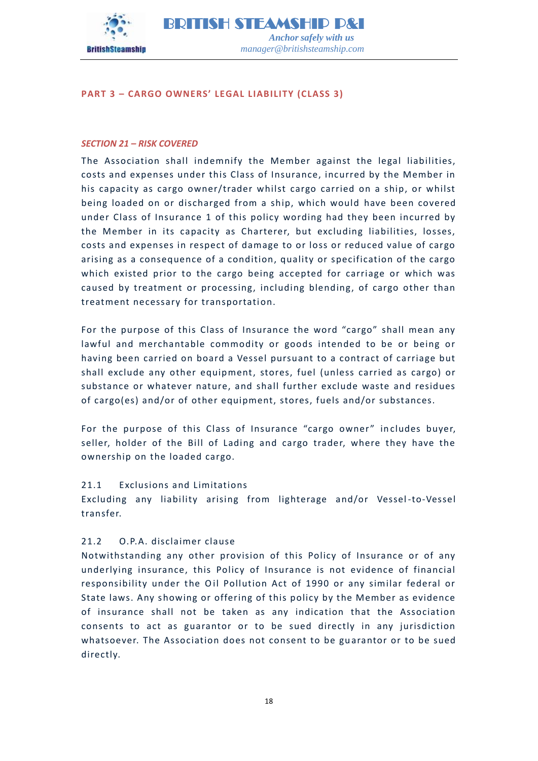

# <span id="page-17-0"></span>**PART 3 – CARGO OWNERS' LEGAL LIABILITY (CLASS 3)**

#### <span id="page-17-1"></span>*SECTION 21 – RISK COVERED*

The Association shall indemnify the Member against the legal liabilities, costs and expenses under this Class of Insurance, incurred by the Member in his capacity as cargo owner/trader whilst cargo carried on a ship, or whilst being loaded on or discharged from a ship, which would have been covered under Class of Insurance 1 of this policy wording had they been incurred by the Member in its capacity as Charterer, but excluding liabilities, losses, costs and expenses in respect of damage to or loss or reduced value of cargo arising as a consequence of a condition, quality or specification of the cargo which existed prior to the cargo being accepted for carriage or which was caused by treatment or processing, including blending, of cargo other than treatment necessary for transportation.

For the purpose of this Class of Insurance the word "cargo" shall mean any lawful and merchantable commodity or goods intended to be or being or having been carried on board a Vessel pursuant to a contract of carriage but shall exclude any other equipment, stores, fuel (unless carried as cargo) or substance or whatever nature, and shall further exclude waste and residues of cargo(es) and/or of other equipment, stores, fuels and/or substances.

For the purpose of this Class of Insurance "cargo owner" includes buyer, seller, holder of the Bill of Lading and cargo trader, where they have the ownership on the loaded cargo.

# 21.1 Exclusions and Limitations

Excluding any liability arising from lighterage and/or Vessel -to-Vessel transfer.

# 21.2 O.P.A. disclaimer clause

Notwithstanding any other provision of this Policy of Insurance or of any underlying insurance, this Policy of Insurance is not evidence of financial responsibility under the Oil Pollution Act of 1990 or any similar federal or State laws. Any showing or offering of this policy by the Member as evidence of insurance shall not be taken as any indication that the Association consents to act as guarantor or to be sued directly in any jurisdiction whatsoever. The Association does not consent to be guarantor or to be sued directly.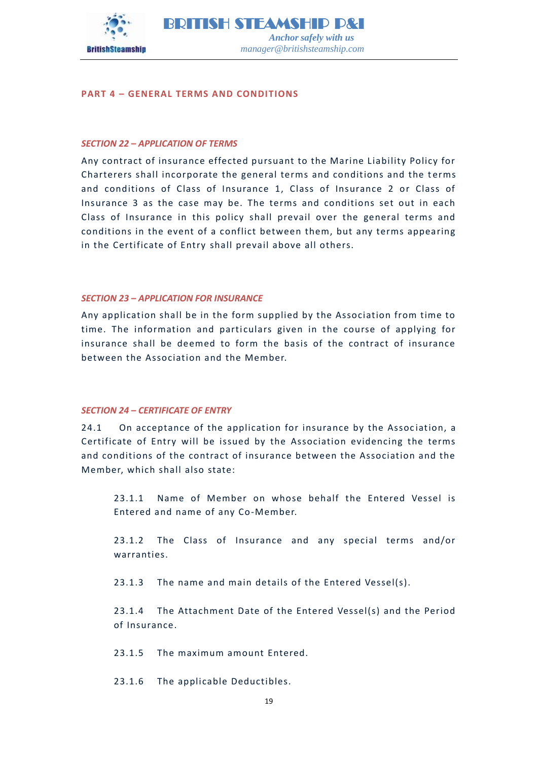

#### <span id="page-18-0"></span>**PART 4 – GENERAL TERMS AND CONDITIONS**

#### <span id="page-18-1"></span>*SECTION 22 – APPLICATION OF TERMS*

Any contract of insurance effected pursuant to the Marine Liability Policy for Charterers shall incorporate the general terms and conditions and the terms and conditions of Class of Insurance 1, Class of Insurance 2 or Class of Insurance 3 as the case may be. The terms and conditions set out in each Class of Insurance in this policy shall prevail over the general terms and conditions in the event of a conflict between them, but any terms appearing in the Certificate of Entry shall prevail above all others.

#### <span id="page-18-2"></span>*SECTION 23 – APPLICATION FOR INSURANCE*

Any application shall be in the form supplied by the Association from time to time. The information and particulars given in the course of applying for insurance shall be deemed to form the basis of the contract of insurance between the Association and the Member.

#### <span id="page-18-3"></span>*SECTION 24 – CERTIFICATE OF ENTRY*

24.1 On acceptance of the application for insurance by the Association, a Certificate of Entry will be issued by the Association evidencing the terms and conditions of the contract of insurance between the Association and the Member, which shall also state:

23.1.1 Name of Member on whose behalf the Entered Vessel is Entered and name of any Co-Member.

23.1.2 The Class of Insurance and any special terms and/or warranties.

23.1.3 The name and main details of the Entered Vessel(s).

23.1.4 The Attachment Date of the Entered Vessel(s) and the Period of Insurance.

23.1.5 The maximum amount Entered.

23.1.6 The applicable Deductibles.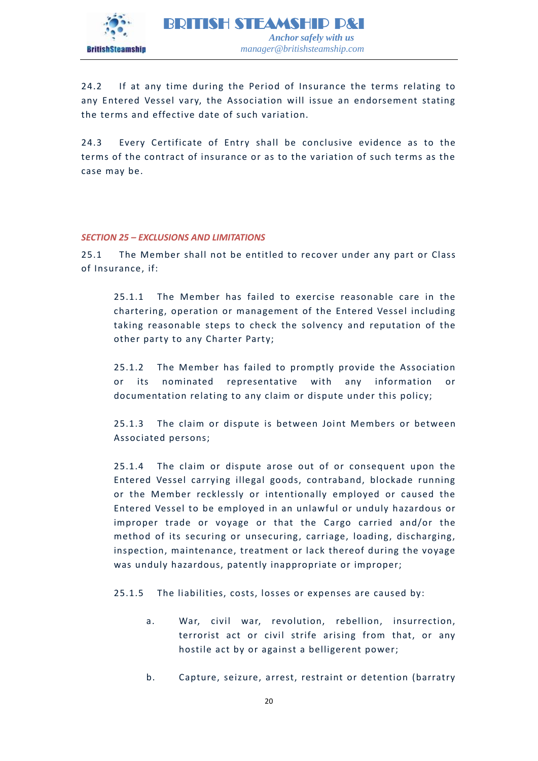

24.2 If at any time during the Period of Insurance the terms relating to any Entered Vessel vary, the Association will issue an endorsement stating the terms and effective date of such variation.

24.3 Every Certificate of Entry shall be conclusive evidence as to the terms of the contract of insurance or as to the variation of such terms as the case may be.

# <span id="page-19-0"></span>*SECTION 25 – EXCLUSIONS AND LIMITATIONS*

25.1 The Member shall not be entitled to recover under any part or Class of Insurance, if:

25.1.1 The Member has failed to exercise reasonable care in the chartering, operation or management of the Entered Vessel including taking reasonable steps to check the solvency and reputation of the other party to any Charter Party;

25.1.2 The Member has failed to promptly provide the Association or its nominated representative with any information or documentation relating to any claim or dispute under this policy;

25.1.3 The claim or dispute is between Joint Members or between Associated persons;

25.1.4 The claim or dispute arose out of or consequent upon the Entered Vessel carrying illegal goods, contraband, blockade running or the Member recklessly or intentionally employed or caused the Entered Vessel to be employed in an unlawful or unduly hazardous or improper trade or voyage or that the Cargo carried and/or the method of its securing or unsecuring, carriage, loading, discharging, inspection, maintenance, treatment or lack thereof during the voyage was unduly hazardous, patently inappropriate or improper;

25.1.5 The liabilities, costs, losses or expenses are caused by:

- a. War, civil war, revolution, rebellion, insurrection, terrorist act or civil strife arising from that, or any hostile act by or against a belligerent power;
- b. Capture, seizure, arrest, restraint or detention (barratry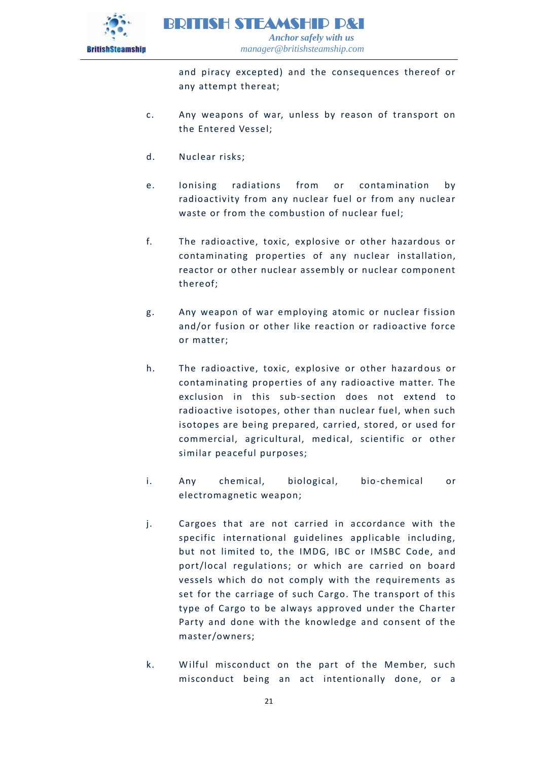

and piracy excepted) and the consequences thereof or any attempt thereat;

- c. Any weapons of war, unless by reason of transport on the Entered Vessel;
- d. Nuclear risks;
- e. Ionising radiations from or contamination by radioactivity from any nuclear fuel or from any nuclear waste or from the combustion of nuclear fuel;
- f. The radioactive, toxic, explosive or other hazardous or contaminating properties of any nuclear installation, reactor or other nuclear assembly or nuclear component thereof;
- g. Any weapon of war employing atomic or nuclear fission and/or fusion or other like reaction or radioactive force or matter;
- h. The radioactive, toxic, explosive or other hazardous or contaminating properties of any radioactive matter. The exclusion in this sub-section does not extend to radioactive isotopes, other than nuclear fuel, when such isotopes are being prepared, carried, stored, or used for commercial, agricultural, medical, scientific or other similar peaceful purposes;
- i. Any chemical, biological, bio-chemical or electromagnetic weapon;
- j. Cargoes that are not carried in accordance with the specific international guidelines applicable including, but not limited to, the IMDG, IBC or IMSBC Code, and port/local regulations; or which are carried on board vessels which do not comply with the requirements as set for the carriage of such Cargo. The transport of this type of Cargo to be always approved under the Charter Party and done with the knowledge and consent of the master/owners;
- k. W ilful misconduct on the part of the Member, such misconduct being an act intentionally done, or a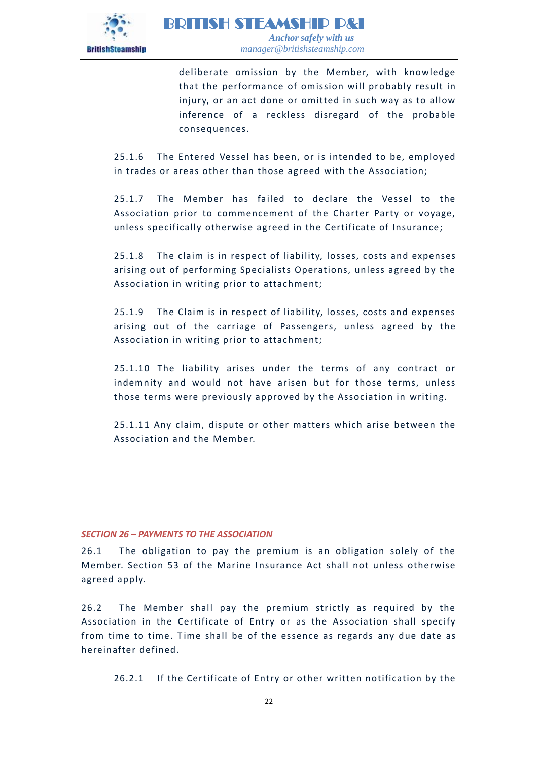

deliberate omission by the Member, with knowledge that the performance of omission will probably result in injury, or an act done or omitted in such way as to allow inference of a reckless disregard of the probable consequences.

25.1.6 The Entered Vessel has been, or is intended to be, employed in trades or areas other than those agreed with the Association;

25.1.7 The Member has failed to declare the Vessel to the Association prior to commencement of the Charter Party or voyage, unless specifically otherwise agreed in the Certificate of Insurance;

25.1.8 The claim is in respect of liability, losses, costs and expenses arising out of performing Specialists Operations, unless agreed by the Association in writing prior to attachment;

25.1.9 The Claim is in respect of liability, losses, costs and expenses arising out of the carriage of Passengers, unless agreed by the Association in writing prior to attachment;

25.1.10 The liability arises under the terms of any contract or indemnity and would not have arisen but for those terms, unless those terms were previously approved by the Association in writing.

25.1.11 Any claim, dispute or other matters which arise between the Association and the Member.

# <span id="page-21-0"></span>*SECTION 26 – PAYMENTS TO THE ASSOCIATION*

26.1 The obligation to pay the premium is an obligation solely of the Member. Section 53 of the Marine Insurance Act shall not unless otherwise agreed apply.

26.2 The Member shall pay the premium strictly as required by the Association in the Certificate of Entry or as the Association shall specify from time to time. Time shall be of the essence as regards any due date as hereinafter defined.

26.2.1 If the Certificate of Entry or other written notification by the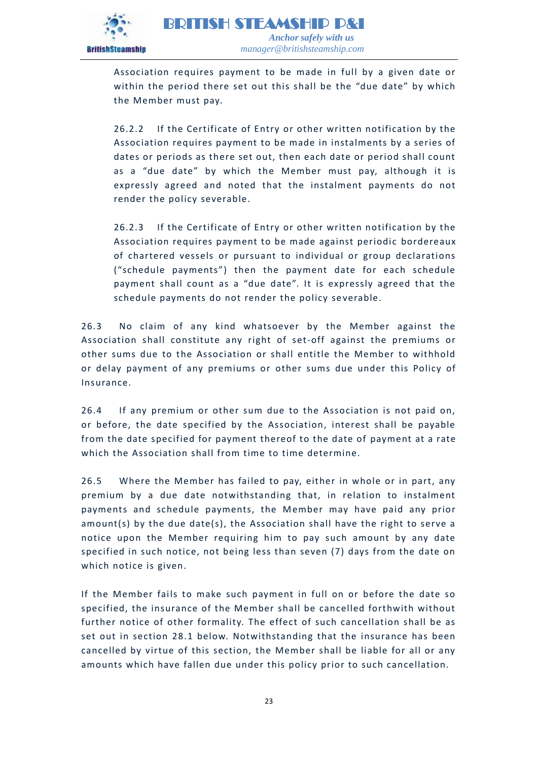

Association requires payment to be made in full by a given date or within the period there set out this shall be the "due date" by which the Member must pay.

26.2.2 If the Certificate of Entry or other written notification by the Association requires payment to be made in instalments by a series of dates or periods as there set out, then each date or period shall count as a "due date" by which the Member must pay, although it is expressly agreed and noted that the instalment payments do not render the policy severable.

26.2.3 If the Certificate of Entry or other written notification by the Association requires payment to be made against periodic bordereaux of chartered vessels or pursuant to individual or group declarations ("schedule payments") then the payment date for each schedule payment shall count as a "due date". It is expressly agreed that the schedule payments do not render the policy se verable.

26.3 No claim of any kind whatsoever by the Member against the Association shall constitute any right of set-off against the premiums or other sums due to the Association or shall entitle the Member to withhold or delay payment of any premiums or other sums due under this Policy of Insurance.

26.4 If any premium or other sum due to the Association is not paid on, or before, the date specified by the Association, interest shall be payable from the date specified for payment thereof to the date of payment at a rate which the Association shall from time to time determine.

26.5 Where the Member has failed to pay, either in whole or in part, any premium by a due date notwithstanding that, in relation to instalment payments and schedule payments, the Member may have paid any prior amount(s) by the due date(s), the Association shall have the right to serve a notice upon the Member requiring him to pay such amount by any date specified in such notice, not being less than seven (7) days from the date on which notice is given.

If the Member fails to make such payment in full on or before the date so specified, the insurance of the Member shall be cancelled forthwith without further notice of other formality. The effect of such cancellation shall be as set out in section 28.1 below. Notwithstanding that the insurance has been cancelled by virtue of this section, the Member shall be liable for all or any amounts which have fallen due under this policy prior to such cancellation.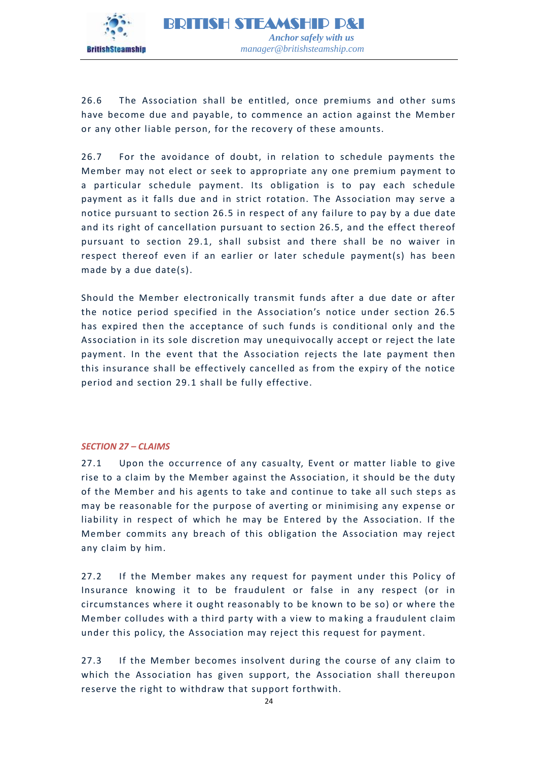

26.6 The Association shall be entitled, once premiums and other sums have become due and payable, to commence an action against the Member or any other liable person, for the recovery of these amounts.

26.7 For the avoidance of doubt, in relation to schedule payments the Member may not elect or seek to appropriate any one premium payment to a particular schedule payment. Its obligation is to pay each schedule payment as it falls due and in strict rotation. The Association may serve a notice pursuant to section 26.5 in respect of any failure to pay by a due date and its right of cancellation pursuant to section 26.5, and the effect thereof pursuant to section 29.1, shall subsist and there shall be no waiver in respect thereof even if an earlier or later schedule payment(s) has been made by a due date(s).

Should the Member electronically transmit funds after a due date or after the notice period specified in the Association's notice under section 26.5 has expired then the acceptance of such funds is conditional only and the Association in its sole discretion may unequivocally accept or reject the late payment. In the event that the Association rejects the late payment then this insurance shall be effectively cancelled as from the expiry of the notice period and section 29.1 shall be fully effective.

# <span id="page-23-0"></span>*SECTION 27 – CLAIMS*

27.1 Upon the occurrence of any casualty, Event or matter liable to give rise to a claim by the Member against the Association, it should be the duty of the Member and his agents to take and continue to take all such steps as may be reasonable for the purpose of averting or minimising any expense or liability in respect of which he may be Entered by the Association. If the Member commits any breach of this obligation the Association may reject any claim by him.

27.2 If the Member makes any request for payment under this Policy of Insurance knowing it to be fraudulent or false in any respect (or in circumstances where it ought reasonably to be known to be so) or where the Member colludes with a third party with a view to ma king a fraudulent claim under this policy, the Association may reject this request for payment.

27.3 If the Member becomes insolvent during the course of any claim to which the Association has given support, the Association shall thereupon reserve the right to withdraw that support forthwith.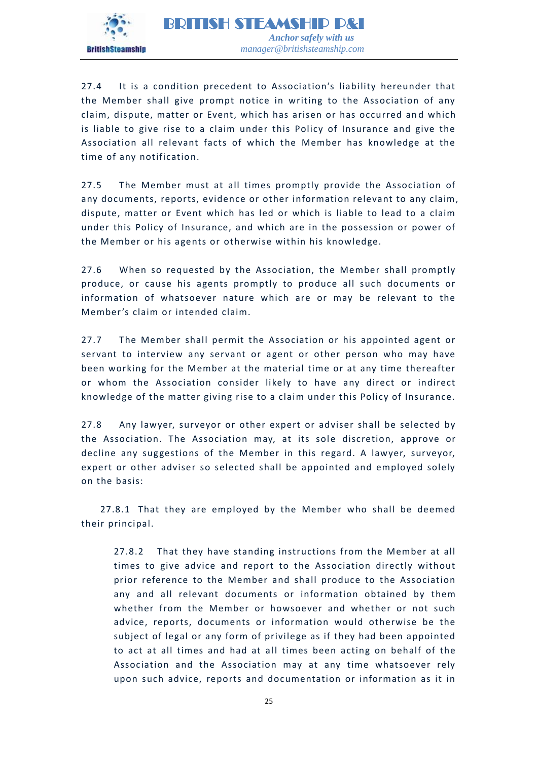

27.4 It is a condition precedent to Association's liability hereunder that the Member shall give prompt notice in writing to the Association of any claim, dispute, matter or Event, which has arisen or has occurred and which is liable to give rise to a claim under this Policy of Insurance and give the Association all relevant facts of which the Member has knowledge at the time of any notification.

27.5 The Member must at all times promptly provide the Association of any documents, reports, evidence or other information relevant to any claim, dispute, matter or Event which has led or which is liable to lead to a claim under this Policy of Insurance, and which are in the possession or power of the Member or his agents or otherwise within his knowledge.

27.6 When so requested by the Association, the Member shall promptly produce, or cause his agents promptly to produce all such documents or information of whatsoever nature which are or may be relevant to the Member's claim or intended claim.

27.7 The Member shall permit the Association or his appointed agent or servant to interview any servant or agent or other person who may have been working for the Member at the material time or at any time thereafter or whom the Association consider likely to have any direct or indirect knowledge of the matter giving rise to a claim under this Policy of Insurance.

27.8 Any lawyer, surveyor or other expert or adviser shall be selected by the Association. The Association may, at its sole discretion, approve or decline any suggestions of the Member in this regard. A lawyer, surveyor, expert or other adviser so selected shall be appointed and employed solely on the basis:

27.8.1 That they are employed by the Member who shall be deemed their principal.

27.8.2 That they have standing instructions from the Member at all times to give advice and report to the Association directly without prior reference to the Member and shall produce to the Association any and all relevant documents or information obtained by them whether from the Member or howsoever and whether or not such advice, reports, documents or information would otherwise be the subject of legal or any form of privilege as if they had been appointed to act at all times and had at all times been acting on behalf of the Association and the Association may at any time whatsoever rely upon such advice, reports and documentation or information as it in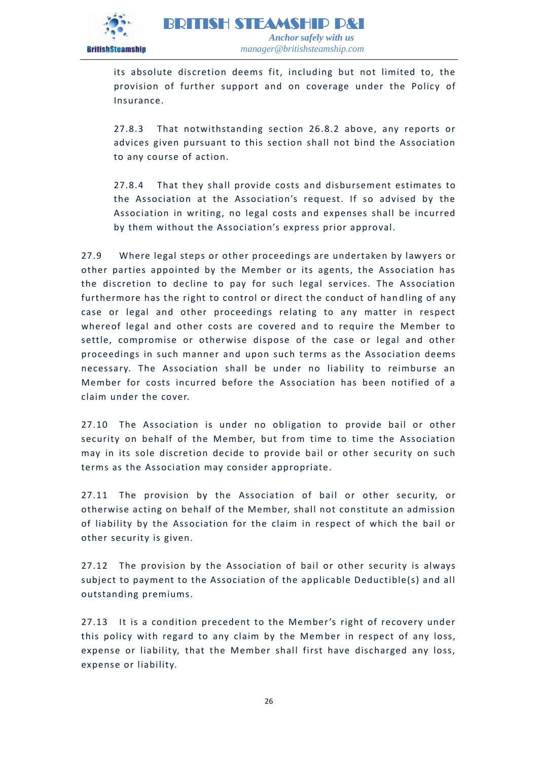

its absolute discretion deems fit, including but not limited to, the provision of further support and on coverage under the Policy of Insurance.

27.8.3 That notwithstanding section 26.8.2 above, any reports or advices given pursuant to this section shall not bind the Association to any course of action.

27.8.4 That they shall provide costs and disbursement estimates to the Association at the Association's request. If so advised by the Association in writing, no legal costs and expenses shall be incurred by them without the Association's express prior approval.

27.9 Where legal steps or other proceedings are undertaken by lawyers or other parties appointed by the Member or its agents, the Association has the discretion to decline to pay for such legal services. The Association furthermore has the right to control or direct the conduct of handling of any case or legal and other proceedings relating to any matter in respect whereof legal and other costs are covered and to require the Member to settle, compromise or otherwise dispose of the case or legal and other proceedings in such manner and upon such terms as the Association deems necessary. The Association shall be under no liability to reimburse an Member for costs incurred before the Association has been notified of a claim under the cover.

27.10 The Association is under no obligation to provide bail or other security on behalf of the Member, but from time to time the Association may in its sole discretion decide to provide bail or other security on such terms as the Association may consider appropriate.

27.11 The provision by the Association of bail or other security, or otherwise acting on behalf of the Member, shall not constitute an admission of liability by the Association for the claim in respect of which the bail or other security is given.

27.12 The provision by the Association of bail or other security is always subject to payment to the Association of the applicable Deductible(s) and all outstanding premiums.

27.13 It is a condition precedent to the Member's right of recovery under this policy with regard to any claim by the Member in respect of any loss, expense or liability, that the Member shall first have discharged any loss, expense or liability.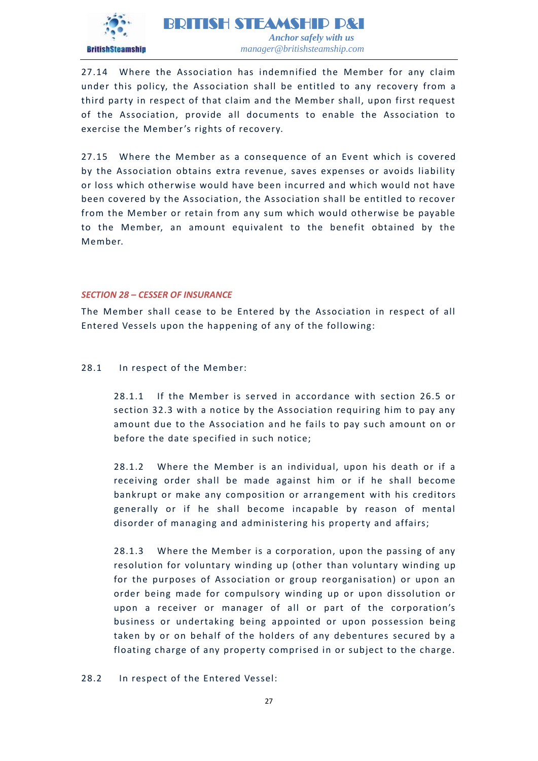

27.14 Where the Association has indemnified the Member for any claim under this policy, the Association shall be entitled to any recovery from a third party in respect of that claim and the Member shall, upon first request of the Association, provide all documents to enable the Association to exercise the Member's rights of recovery.

27.15 Where the Member as a consequence of an Event which is covered by the Association obtains extra revenue, saves expenses or avoids liability or loss which otherwise would have been incurred and which would not have been covered by the Association, the Association shall be entitled to recover from the Member or retain from any sum which would otherwise be payable to the Member, an amount equivalent to the benefit obtained by the Member.

#### <span id="page-26-0"></span>*SECTION 28 – CESSER OF INSURANCE*

The Member shall cease to be Entered by the Association in respect of all Entered Vessels upon the happening of any of the following:

# 28.1 In respect of the Member:

28.1.1 If the Member is served in accordance with section 26.5 or section 32.3 with a notice by the Association requiring him to pay any amount due to the Association and he fails to pay such amount on or before the date specified in such notice;

28.1.2 Where the Member is an individual, upon his death or if a receiving order shall be made against him or if he shall become bankrupt or make any composition or arrangement with his creditors generally or if he shall become incapable by reason of mental disorder of managing and administering his property and affairs;

28.1.3 Where the Member is a corporation, upon the passing of any resolution for voluntary winding up (other than voluntary winding up for the purposes of Association or group reorganisation) or upon an order being made for compulsory winding up or upon dissolution or upon a receiver or manager of all or part of the corporation's business or undertaking being appointed or upon possession being taken by or on behalf of the holders of any debentures secured by a floating charge of any property comprised in or subject to the charge.

28.2 In respect of the Entered Vessel: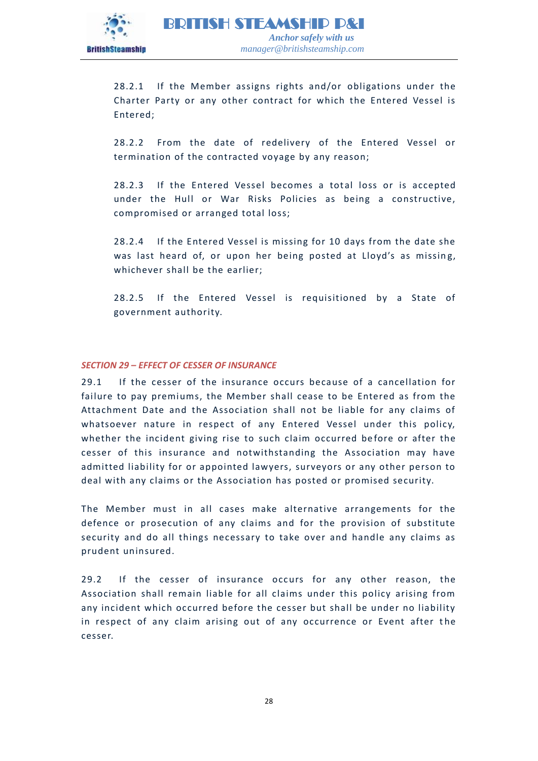

28.2.1 If the Member assigns rights and/or obligations under the Charter Party or any other contract for which the Entered Vessel is Entered;

28.2.2 From the date of redelivery of the Entered Vessel or termination of the contracted voyage by any reason;

28.2.3 If the Entered Vessel becomes a total loss or is accepted under the Hull or War Risks Policies as being a constructive, compromised or arranged total loss;

28.2.4 If the Entered Vessel is missing for 10 days from the date she was last heard of, or upon her being posted at Lloyd's as missing, whichever shall be the earlier;

28.2.5 If the Entered Vessel is requisitioned by a State of government authority.

# <span id="page-27-0"></span>*SECTION 29 – EFFECT OF CESSER OF INSURANCE*

29.1 If the cesser of the insurance occurs because of a cancellation for failure to pay premiums, the Member shall cease to be Entered as from the Attachment Date and the Association shall not be liable for any claims of whatsoever nature in respect of any Entered Vessel under this policy, whether the incident giving rise to such claim occurred before or after the cesser of this insurance and notwithstanding the Association may have admitted liability for or appointed lawyers, surveyors or any other person to deal with any claims or the Association has posted or promised security.

The Member must in all cases make alternative arrangements for the defence or prosecution of any claims and for the provision of substitute security and do all things necessary to take over and handle any claims as prudent uninsured.

29.2 If the cesser of insurance occurs for any other reason, the Association shall remain liable for all claims under this policy arising from any incident which occurred before the cesser but shall be under no liability in respect of any claim arising out of any occurrence or Event after the cesser.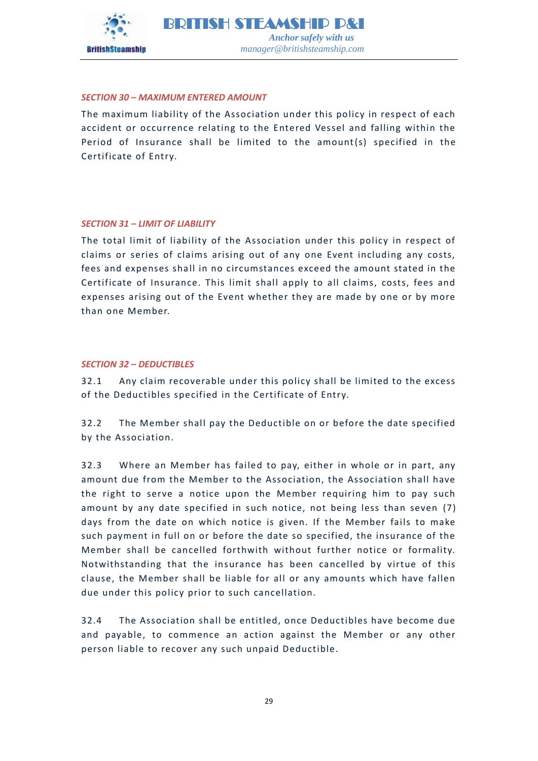

# <span id="page-28-0"></span>*SECTION 30 – MAXIMUM ENTERED AMOUNT*

The maximum liability of the Association under this policy in respect of each accident or occurrence relating to the Entered Vessel and falling within the Period of Insurance shall be limited to the amount(s) specified in the Certificate of Entry.

# <span id="page-28-1"></span>*SECTION 31 – LIMIT OF LIABILITY*

The total limit of liability of the Association under this policy in respect of claims or series of claims arising out of any one Event including any costs, fees and expenses shall in no circumstances exceed the amount stated in the Certificate of Insurance. This limit shall apply to all claims, costs, fees and expenses arising out of the Event whether they are made by one or by more than one Member.

#### <span id="page-28-2"></span>*SECTION 32 – DEDUCTIBLES*

32.1 Any claim recoverable under this policy shall be limited to the excess of the Deductibles specified in the Certificate of Entry.

32.2 The Member shall pay the Deductible on or before the date specified by the Association.

32.3 Where an Member has failed to pay, either in whole or in part, any amount due from the Member to the Association, the Association shall have the right to serve a notice upon the Member requiring him to pay such amount by any date specified in such notice, not being less than seven (7) days from the date on which notice is given. If the Member fails to make such payment in full on or before the date so specified, the insurance of the Member shall be cancelled forthwith without further notice or formality. Notwithstanding that the insurance has been cancelled by virtue of this clause, the Member shall be liable for all or any amounts which have fallen due under this policy prior to such cancellation.

32.4 The Association shall be entitled, once Deductibles have become due and payable, to commence an action against the Member or any other person liable to recover any such unpaid Deductible.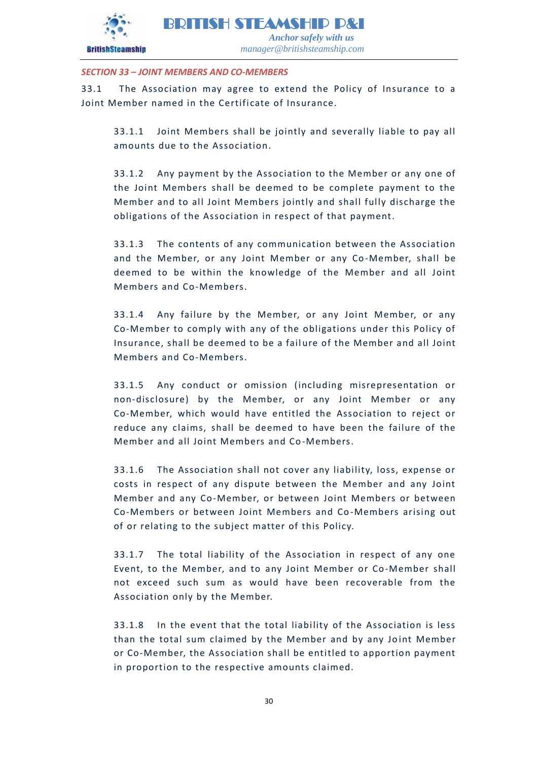

# <span id="page-29-0"></span>*SECTION 33 – JOINT MEMBERS AND CO-MEMBERS*

33.1 The Association may agree to extend the Policy of Insurance to a Joint Member named in the Certificate of Insurance.

33.1.1 Joint Members shall be jointly and severally liable to pay all amounts due to the Association.

33.1.2 Any payment by the Association to the Member or any one of the Joint Members shall be deemed to be complete payment to the Member and to all Joint Members jointly and shall fully discharge the obligations of the Association in respect of that payment.

33.1.3 The contents of any communication between the Association and the Member, or any Joint Member or any Co -Member, shall be deemed to be within the knowledge of the Member and all Joint Members and Co-Members.

33.1.4 Any failure by the Member, or any Joint Member, or any Co-Member to comply with any of the obligations under this Policy of Insurance, shall be deemed to be a fail ure of the Member and all Joint Members and Co-Members.

33.1.5 Any conduct or omission (including misrepresentation or non-disclosure) by the Member, or any Joint Member or any Co-Member, which would have entitled the Association to reject or reduce any claims, shall be deemed to have been the failure of the Member and all Joint Members and Co-Members.

33.1.6 The Association shall not cover any liability, loss, expense or costs in respect of any dispute between the Member and any Joint Member and any Co-Member, or between Joint Members or between Co-Members or between Joint Members and Co -Members arising out of or relating to the subject matter of this Policy.

33.1.7 The total liability of the Association in respect of any one Event, to the Member, and to any Joint Member or Co-Member shall not exceed such sum as would have been recoverable from the Association only by the Member.

33.1.8 In the event that the total liability of the Association is less than the total sum claimed by the Member and by any Joint Member or Co-Member, the Association shall be entitled to apportion payment in proportion to the respective amounts claimed.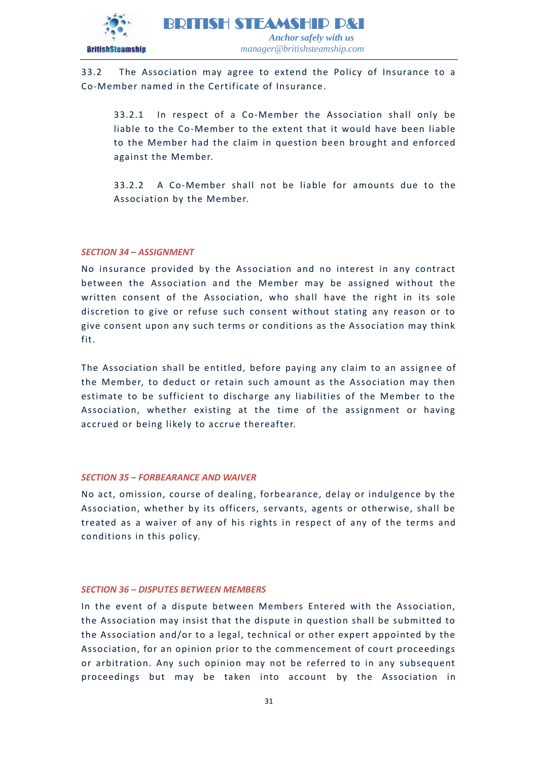

33.2 The Association may agree to extend the Policy of Insurance to a Co-Member named in the Certificate of Insurance.

33.2.1 In respect of a Co-Member the Association shall only be liable to the Co-Member to the extent that it would have been liable to the Member had the claim in question been brought and enforced against the Member.

33.2.2 A Co-Member shall not be liable for amounts due to the Association by the Member.

#### <span id="page-30-0"></span>*SECTION 34 – ASSIGNMENT*

No insurance provided by the Association and no interest in any contract between the Association and the Member may be assigned without the written consent of the Association, who shall have the right in its sole discretion to give or refuse such consent without stating any reason or to give consent upon any such terms or conditions as the Association may think fit.

The Association shall be entitled, before paying any claim to an assignee of the Member, to deduct or retain such amount as the Association may then estimate to be sufficient to discharge any liabilities of the Member to the Association, whether existing at the time of the assignment or having accrued or being likely to accrue thereafter.

#### <span id="page-30-1"></span>*SECTION 35 – FORBEARANCE AND WAIVER*

No act, omission, course of dealing, forbearance, delay or indulgence by the Association, whether by its officers, servants, agents or otherwise, shall be treated as a waiver of any of his rights in respect of any of the terms and conditions in this policy.

# <span id="page-30-2"></span>*SECTION 36 – DISPUTES BETWEEN MEMBERS*

In the event of a dispute between Members Entered with the Association, the Association may insist that the dispute in question shall be submitted to the Association and/or to a legal, technical or other expert appointed by the Association, for an opinion prior to the commencement of court proceedings or arbitration. Any such opinion may not be referred to in any subsequent proceedings but may be taken into account by the Association in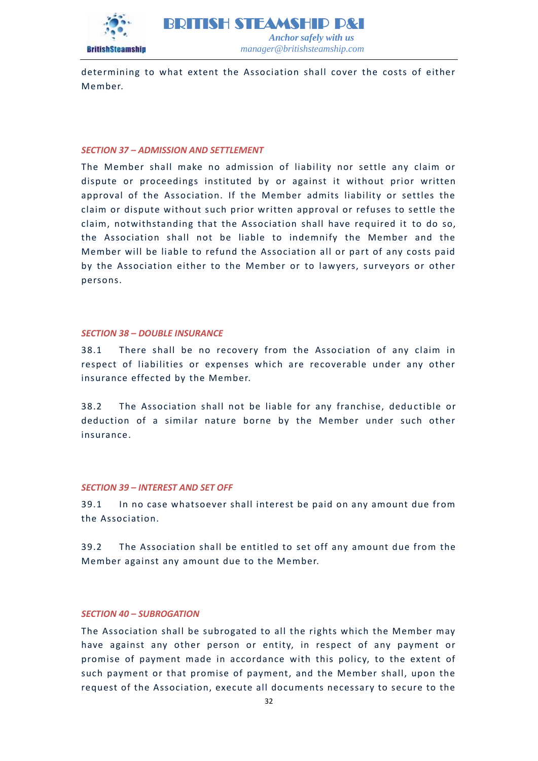

determining to what extent the Association shall cover the costs of either Member.

#### <span id="page-31-0"></span>*SECTION 37 – ADMISSION AND SETTLEMENT*

The Member shall make no admission of liability nor settle any claim or dispute or proceedings instituted by or against it without prior written approval of the Association. If the Member admits liability or settles the claim or dispute without such prior written approval or refuses to settle the claim, notwithstanding that the Association shall have required it to do so, the Association shall not be liable to indemnify the Member and the Member will be liable to refund the Association all or part of any costs paid by the Association either to the Member or to lawyers, surveyors or other persons.

#### <span id="page-31-1"></span>*SECTION 38 – DOUBLE INSURANCE*

38.1 There shall be no recovery from the Association of any claim in respect of liabilities or expenses which are recoverable under any other insurance effected by the Member.

38.2 The Association shall not be liable for any franchise, dedu ctible or deduction of a similar nature borne by the Member under such other insurance.

#### <span id="page-31-2"></span>*SECTION 39 – INTEREST AND SET OFF*

39.1 In no case whatsoever shall interest be paid on any amount due from the Association.

39.2 The Association shall be entitled to set off any amount due from the Member against any amount due to the Member.

#### <span id="page-31-3"></span>*SECTION 40 – SUBROGATION*

The Association shall be subrogated to all the rights which the Member may have against any other person or entity, in respect of any payment or promise of payment made in accordance with this policy, to the extent of such payment or that promise of payment, and the Member shall, upon the request of the Association, execute all documents necessary to secure to the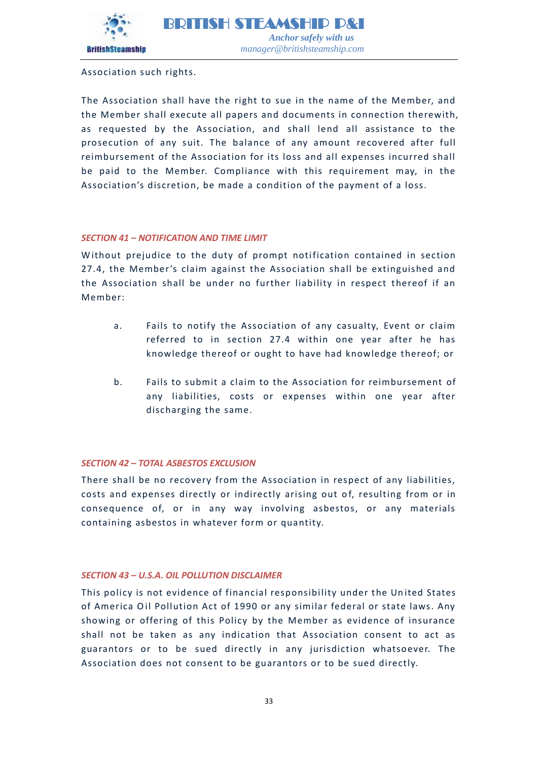

Association such rights.

The Association shall have the right to sue in the name of the Member, and the Member shall execute all papers and documents in connection therewith, as requested by the Association, and shall lend all assistance to the prosecution of any suit. The balance of any amount recovered after full reimbursement of the Association for its loss and all expenses incurred shall be paid to the Member. Compliance with this requirement may, in the Association's discretion, be made a condition of the payment of a loss.

# <span id="page-32-0"></span>*SECTION 41 – NOTIFICATION AND TIME LIMIT*

Without prejudice to the duty of prompt notification contained in section 27.4, the Member 's claim against the Association shall be extinguished and the Association shall be under no further liability in respect thereof if an Member:

- a. Fails to notify the Association of any casualty, Event or claim referred to in section 27.4 within one year after he has knowledge thereof or ought to have had knowledge thereof; or
- b. Fails to submit a claim to the Association for reimbursement of any liabilities, costs or expenses within one year after discharging the same.

#### <span id="page-32-1"></span>*SECTION 42 – TOTAL ASBESTOS EXCLUSION*

There shall be no recovery from the Association in respect of any liabilities, costs and expenses directly or indirectly arising out of, resulting from or in consequence of, or in any way involving asbestos, or any materials containing asbestos in whatever form or quantity.

# *SECTION 43 – U.S.A. OIL POLLUTION DISCLAIMER*

<span id="page-32-2"></span>This policy is not evidence of financial responsibility under the Un ited States of America Oil Pollution Act of 1990 or any similar federal or state laws. Any showing or offering of this Policy by the Member as evidence of insurance shall not be taken as any indication that Association consent to act as guarantors or to be sued directly in any jurisdiction whatsoever. The Association does not consent to be guarantors or to be sued directly.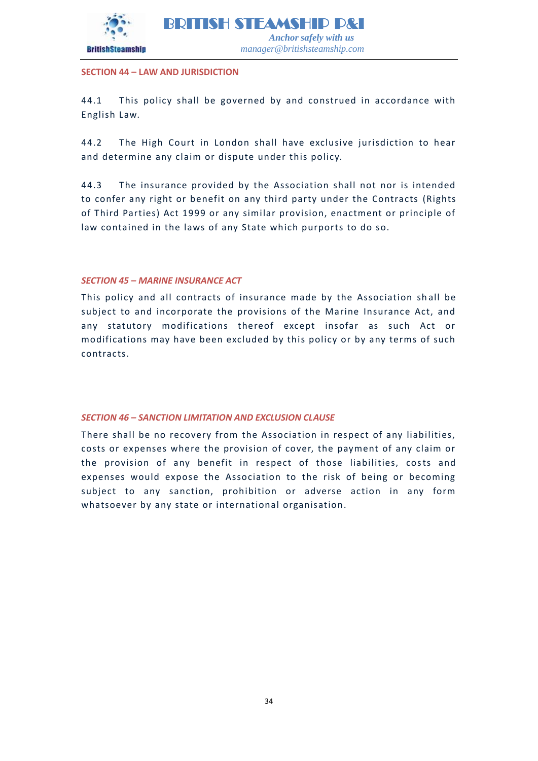

# **SECTION 44 – LAW AND JURISDICTION**

44.1 This policy shall be governed by and construed in accordance with English Law.

44.2 The High Court in London shall have exclusive jurisdiction to hear and determine any claim or dispute under this policy.

44.3 The insurance provided by the Association shall not nor is intended to confer any right or benefit on any third party under the Contracts (Rights of Third Parties) Act 1999 or any similar provision, enactment or principle of law contained in the laws of any State which purports to do so.

# <span id="page-33-0"></span>*SECTION 45 – MARINE INSURANCE ACT*

This policy and all contracts of insurance made by the Association sh all be subject to and incorporate the provisions of the Marine Insurance Act, and any statutory modifications thereof except insofar as such Act or modifications may have been excluded by this policy or by any terms of such contracts.

# <span id="page-33-1"></span>*SECTION 46 – SANCTION LIMITATION AND EXCLUSION CLAUSE*

There shall be no recovery from the Association in respect of any liabilities, costs or expenses where the provision of cover, the payment of any claim or the provision of any benefit in respect of those liabilities, costs and expenses would expose the Association to the risk of being or becoming subject to any sanction, prohibition or adverse action in any form whatsoever by any state or international organisation.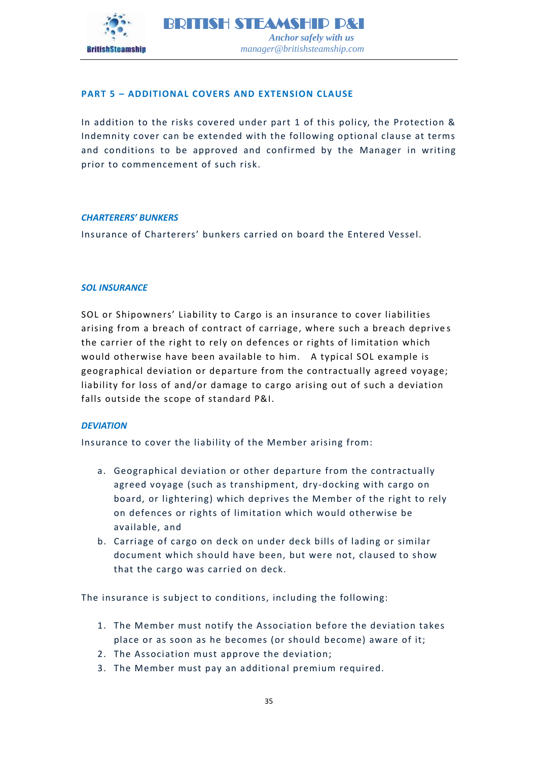

# <span id="page-34-0"></span>**PART 5 – ADDITIONAL COVERS AND EXTENSION CLAUSE**

In addition to the risks covered under part 1 of this policy, the Protection & Indemnity cover can be extended with the following optional clause at terms and conditions to be approved and confirmed by the Manager in writing prior to commencement of such risk.

# *CHARTERERS' BUNKERS*

Insurance of Charterers' bunkers carried on board the Entered Vessel.

# *SOL INSURANCE*

SOL or Shipowners' Liability to Cargo is an insurance to cover liabilities arising from a breach of contract of carriage, where such a breach deprive s the carrier of the right to rely on defences or rights of limitation which would otherwise have been available to him. A typical SOL example is geographical deviation or departure from the contractually agreed voyage; liability for loss of and/or damage to cargo arising out of such a deviation falls outside the scope of standard P&I.

# *DEVIATION*

Insurance to cover the liability of the Member arising from:

- a. Geographical deviation or other departure from the contractually agreed voyage (such as transhipment, dry-docking with cargo on board, or lightering) which deprives the Member of the right to rely on defences or rights of limitation which would otherwise be available, and
- b. Carriage of cargo on deck on under deck bills of lading or similar document which should have been, but were not, claused to show that the cargo was carried on deck.

The insurance is subject to conditions, including the following:

- 1. The Member must notify the Association before the deviation takes place or as soon as he becomes (or should become) aware of it;
- 2. The Association must approve the deviation;
- 3. The Member must pay an additional premium required.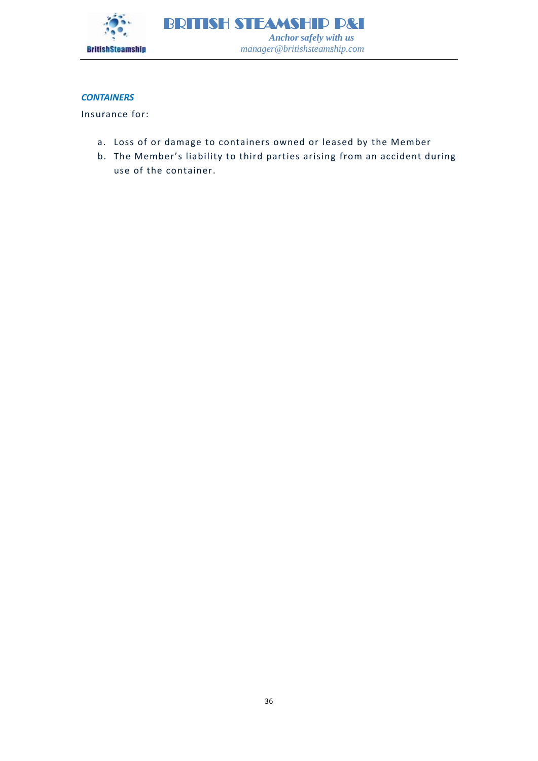

# *CONTAINERS*

Insurance for:

- a. Loss of or damage to containers owned or leased by the Member
- b. The Member's liability to third parties arising from an accident during use of the container.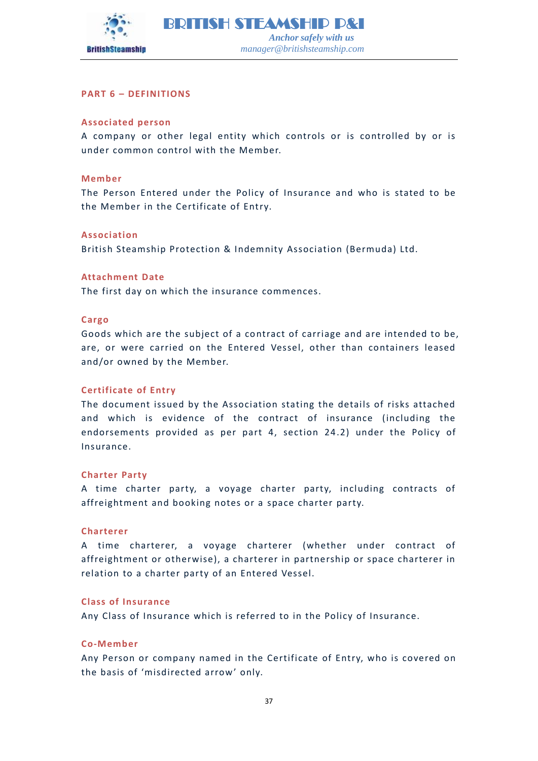

# <span id="page-36-0"></span>**PART 6 – DEFINITIONS**

# **Associated person**

A company or other legal entity which controls or is controlled by or is under common control with the Member.

#### **Member**

The Person Entered under the Policy of Insurance and who is stated to be the Member in the Certificate of Entry.

# **Association**

British Steamship Protection & Indemnity Association (Bermuda) Ltd.

#### **Attachment Date**

The first day on which the insurance commences.

#### **Cargo**

Goods which are the subject of a contract of carriage and are intended to be, are, or were carried on the Entered Vessel, other than containers leased and/or owned by the Member.

# **Certificate of Entry**

The document issued by the Association stating the details of risks attached and which is evidence of the contract of insurance (including the endorsements provided as per part 4, section 24.2) under the Policy of Insurance.

#### **Charter Party**

A time charter party, a voyage charter party, including contracts of affreightment and booking notes or a space charter party.

#### **Charterer**

A time charterer, a voyage charterer (whether under contract of affreightment or otherwise), a charterer in partnership or space charterer in relation to a charter party of an Entered Vessel.

#### **Class of Insurance**

Any Class of Insurance which is referred to in the Policy of Insurance.

#### **Co-Member**

Any Person or company named in the Certificate of Entry, who is covered on the basis of 'misdirected arrow ' only.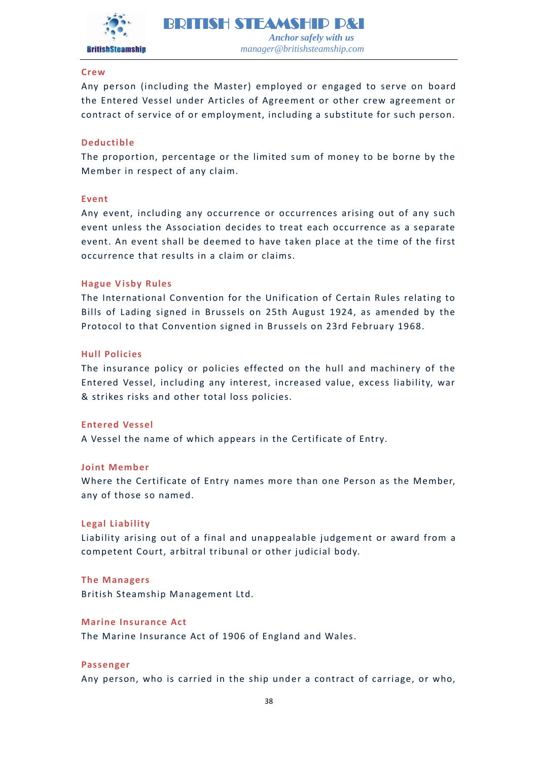

#### **Crew**

Any person (including the Master) employed or engaged to serve on board the Entered Vessel under Articles of Agreement or other crew agreement or contract of service of or employment, including a substitute for such person.

#### **Deductible**

The proportion, percentage or the limited sum of money to be borne by the Member in respect of any claim.

#### **Event**

Any event, including any occurrence or occurrences arising out of any such event unless the Association decides to treat each occurrence as a separate event. An event shall be deemed to have taken place at the time of the first occurrence that results in a claim or claims.

#### **Hague Visby Rules**

The International Convention for the Unification of Certain Rules relating to Bills of Lading signed in Brussels on 25th August 1924, as amended by the Protocol to that Convention signed in Brussels on 23rd February 1968.

#### **Hull Policies**

The insurance policy or policies effected on the hull and machinery of the Entered Vessel, including any interest, increased value, excess liability, war & strikes risks and other total loss policies.

#### **Entered Vessel**

A Vessel the name of which appears in the Certificate of Entry.

#### **Joint Member**

Where the Certificate of Entry names more than one Person as the Member, any of those so named.

#### **Legal Liability**

Liability arising out of a final and unappealable judgement or award from a competent Court, arbitral tribunal or other judicial body.

#### **The Managers**

British Steamship Management Ltd.

#### **Marine Insurance Act**

The Marine Insurance Act of 1906 of England and Wales.

#### **Passenger**

Any person, who is carried in the ship under a contract of carriage, or who,